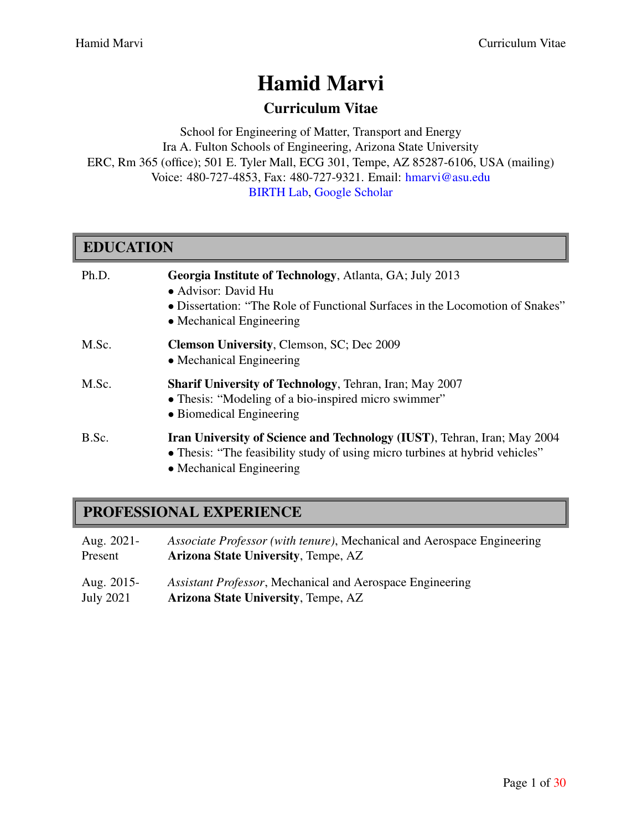# Hamid Marvi

# Curriculum Vitae

School for Engineering of Matter, Transport and Energy Ira A. Fulton Schools of Engineering, Arizona State University ERC, Rm 365 (office); 501 E. Tyler Mall, ECG 301, Tempe, AZ 85287-6106, USA (mailing) Voice: 480-727-4853, Fax: 480-727-9321. Email: [hmarvi@asu.edu](mailto:hmarvi@asu.edu) [BIRTH Lab](http://birth.asu.edu/), [Google Scholar](https://scholar.google.com/citations?user=00Fepb0AAAAJ&hl=en&oi=ao)

| <b>EDUCATION</b> |                                                                                                                                                                                             |
|------------------|---------------------------------------------------------------------------------------------------------------------------------------------------------------------------------------------|
| Ph.D.            | Georgia Institute of Technology, Atlanta, GA; July 2013<br>• Advisor: David Hu<br>• Dissertation: "The Role of Functional Surfaces in the Locomotion of Snakes"<br>• Mechanical Engineering |
| M.Sc.            | Clemson University, Clemson, SC; Dec 2009<br>• Mechanical Engineering                                                                                                                       |
| M.Sc.            | <b>Sharif University of Technology, Tehran, Iran; May 2007</b><br>• Thesis: "Modeling of a bio-inspired micro swimmer"<br>• Biomedical Engineering                                          |
| B.Sc.            | <b>Iran University of Science and Technology (IUST), Tehran, Iran; May 2004</b><br>• Thesis: "The feasibility study of using micro turbines at hybrid vehicles"<br>• Mechanical Engineering |

# PROFESSIONAL EXPERIENCE

- Aug. 2021- *Associate Professor (with tenure)*, Mechanical and Aerospace Engineering Present **Arizona State University**, Tempe, AZ Aug. 2015- *Assistant Professor*, Mechanical and Aerospace Engineering
- Arizona State University, Tempe, AZ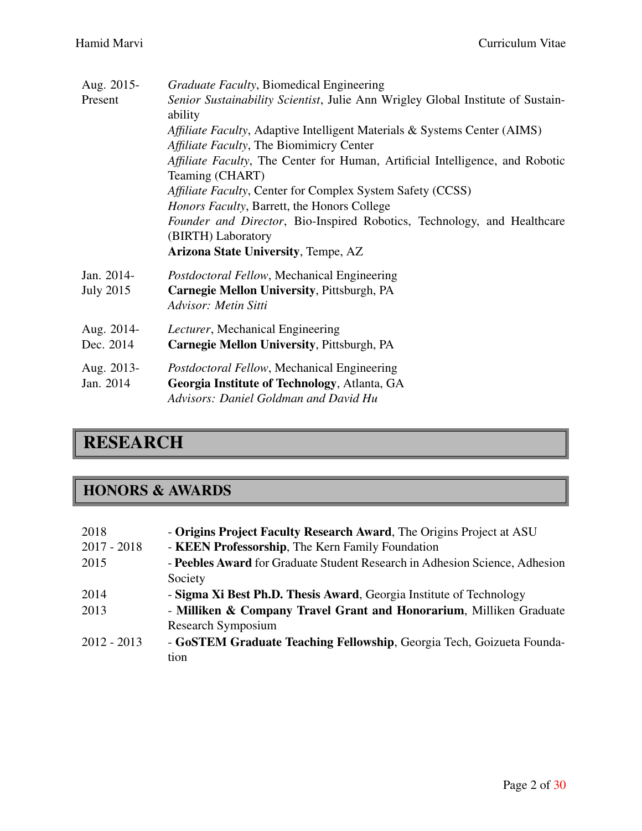| Aug. 2015-                     | <i>Graduate Faculty</i> , Biomedical Engineering                                                                                     |
|--------------------------------|--------------------------------------------------------------------------------------------------------------------------------------|
| Present                        | Senior Sustainability Scientist, Julie Ann Wrigley Global Institute of Sustain-<br>ability                                           |
|                                | Affiliate Faculty, Adaptive Intelligent Materials & Systems Center (AIMS)                                                            |
|                                | Affiliate Faculty, The Biomimicry Center                                                                                             |
|                                | Affiliate Faculty, The Center for Human, Artificial Intelligence, and Robotic<br>Teaming (CHART)                                     |
|                                | <i>Affiliate Faculty, Center for Complex System Safety (CCSS)</i>                                                                    |
|                                | Honors Faculty, Barrett, the Honors College                                                                                          |
|                                | Founder and Director, Bio-Inspired Robotics, Technology, and Healthcare                                                              |
|                                | (BIRTH) Laboratory                                                                                                                   |
|                                | <b>Arizona State University, Tempe, AZ</b>                                                                                           |
| Jan. 2014-<br><b>July 2015</b> | Postdoctoral Fellow, Mechanical Engineering<br><b>Carnegie Mellon University, Pittsburgh, PA</b>                                     |
|                                | Advisor: Metin Sitti                                                                                                                 |
| Aug. 2014-                     | Lecturer, Mechanical Engineering                                                                                                     |
| Dec. 2014                      | <b>Carnegie Mellon University, Pittsburgh, PA</b>                                                                                    |
| Aug. 2013-<br>Jan. 2014        | Postdoctoral Fellow, Mechanical Engineering<br>Georgia Institute of Technology, Atlanta, GA<br>Advisors: Daniel Goldman and David Hu |
|                                |                                                                                                                                      |

# **RESEARCH**

# HONORS & AWARDS

| 2018<br>$2017 - 2018$ | - Origins Project Faculty Research Award, The Origins Project at ASU<br>- KEEN Professorship, The Kern Family Foundation |
|-----------------------|--------------------------------------------------------------------------------------------------------------------------|
| 2015                  | - Peebles Award for Graduate Student Research in Adhesion Science, Adhesion                                              |
|                       | Society                                                                                                                  |
| 2014                  | - Sigma Xi Best Ph.D. Thesis Award, Georgia Institute of Technology                                                      |
| 2013                  | - Milliken & Company Travel Grant and Honorarium, Milliken Graduate                                                      |
|                       | Research Symposium                                                                                                       |
| $2012 - 2013$         | - GoSTEM Graduate Teaching Fellowship, Georgia Tech, Goizueta Founda-                                                    |
|                       | tion                                                                                                                     |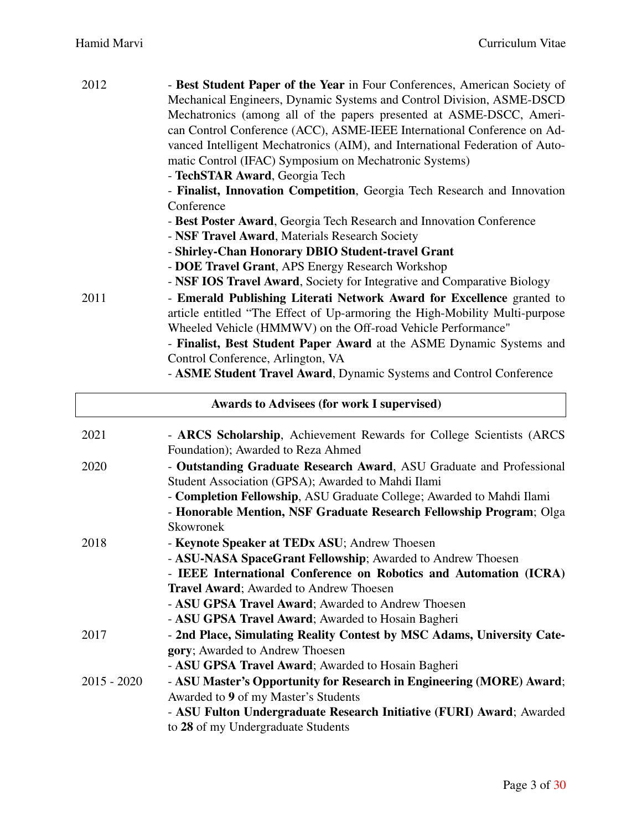| 2012 | - Best Student Paper of the Year in Four Conferences, American Society of    |
|------|------------------------------------------------------------------------------|
|      | Mechanical Engineers, Dynamic Systems and Control Division, ASME-DSCD        |
|      | Mechatronics (among all of the papers presented at ASME-DSCC, Ameri-         |
|      |                                                                              |
|      | can Control Conference (ACC), ASME-IEEE International Conference on Ad-      |
|      | vanced Intelligent Mechatronics (AIM), and International Federation of Auto- |
|      | matic Control (IFAC) Symposium on Mechatronic Systems)                       |
|      | - TechSTAR Award, Georgia Tech                                               |
|      | - Finalist, Innovation Competition, Georgia Tech Research and Innovation     |
|      | Conference                                                                   |
|      | - Best Poster Award, Georgia Tech Research and Innovation Conference         |
|      | - NSF Travel Award, Materials Research Society                               |
|      | - Shirley-Chan Honorary DBIO Student-travel Grant                            |
|      | - DOE Travel Grant, APS Energy Research Workshop                             |
|      | - NSF IOS Travel Award, Society for Integrative and Comparative Biology      |
| 2011 | - Emerald Publishing Literati Network Award for Excellence granted to        |
|      | article entitled "The Effect of Up-armoring the High-Mobility Multi-purpose  |
|      | Wheeled Vehicle (HMMWV) on the Off-road Vehicle Performance"                 |
|      | - Finalist, Best Student Paper Award at the ASME Dynamic Systems and         |
|      | Control Conference, Arlington, VA                                            |
|      | $\mathbf{M}$                                                                 |

- ASME Student Travel Award, Dynamic Systems and Control Conference

| <b>Awards to Advisees (for work I supervised)</b> |                                                                                                                                                                                                                                                                                  |  |
|---------------------------------------------------|----------------------------------------------------------------------------------------------------------------------------------------------------------------------------------------------------------------------------------------------------------------------------------|--|
| 2021                                              | - ARCS Scholarship, Achievement Rewards for College Scientists (ARCS)<br>Foundation); Awarded to Reza Ahmed                                                                                                                                                                      |  |
| 2020                                              | - Outstanding Graduate Research Award, ASU Graduate and Professional<br>Student Association (GPSA); Awarded to Mahdi Ilami                                                                                                                                                       |  |
|                                                   | - Completion Fellowship, ASU Graduate College; Awarded to Mahdi Ilami<br>- Honorable Mention, NSF Graduate Research Fellowship Program; Olga<br>Skowronek                                                                                                                        |  |
| 2018                                              | - Keynote Speaker at TEDx ASU; Andrew Thoesen<br>- ASU-NASA SpaceGrant Fellowship; Awarded to Andrew Thoesen<br>- IEEE International Conference on Robotics and Automation (ICRA)                                                                                                |  |
|                                                   | <b>Travel Award</b> ; Awarded to Andrew Thoesen<br>- ASU GPSA Travel Award; Awarded to Andrew Thoesen                                                                                                                                                                            |  |
| 2017                                              | - ASU GPSA Travel Award; Awarded to Hosain Bagheri<br>- 2nd Place, Simulating Reality Contest by MSC Adams, University Cate-<br>gory; Awarded to Andrew Thoesen                                                                                                                  |  |
| $2015 - 2020$                                     | - ASU GPSA Travel Award; Awarded to Hosain Bagheri<br>- ASU Master's Opportunity for Research in Engineering (MORE) Award;<br>Awarded to 9 of my Master's Students<br>- ASU Fulton Undergraduate Research Initiative (FURI) Award; Awarded<br>to 28 of my Undergraduate Students |  |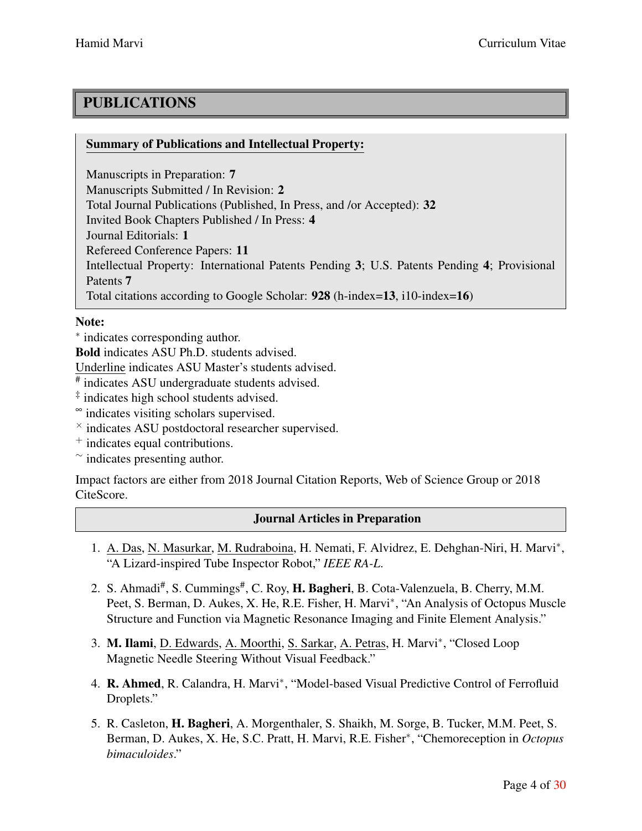# PUBLICATIONS

### Summary of Publications and Intellectual Property:

Manuscripts in Preparation: 7 Manuscripts Submitted / In Revision: 2 Total Journal Publications (Published, In Press, and /or Accepted): 32 Invited Book Chapters Published / In Press: 4 Journal Editorials: 1 Refereed Conference Papers: 11 Intellectual Property: International Patents Pending 3; U.S. Patents Pending 4; Provisional Patents 7 Total citations according to Google Scholar: 928 (h-index=13, i10-index=16)

### Note:

*∗* indicates corresponding author.

Bold indicates ASU Ph.D. students advised.

Underline indicates ASU Master's students advised.

# indicates ASU undergraduate students advised.

‡ indicates high school students advised.

<sup>∞</sup> indicates visiting scholars supervised.

*×* indicates ASU postdoctoral researcher supervised.

<sup>+</sup> indicates equal contributions.

*∼* indicates presenting author.

Impact factors are either from 2018 Journal Citation Reports, Web of Science Group or 2018 CiteScore.

# Journal Articles in Preparation

- 1. A. Das, N. Masurkar, M. Rudraboina, H. Nemati, F. Alvidrez, E. Dehghan-Niri, H. Marvi*∗* , "A Lizard-inspired Tube Inspector Robot," *IEEE RA-L*.
- 2. S. Ahmadi<sup>#</sup>, S. Cummings<sup>#</sup>, C. Roy, H. Bagheri, B. Cota-Valenzuela, B. Cherry, M.M. Peet, S. Berman, D. Aukes, X. He, R.E. Fisher, H. Marvi*∗* , "An Analysis of Octopus Muscle Structure and Function via Magnetic Resonance Imaging and Finite Element Analysis."
- 3. M. Ilami, D. Edwards, A. Moorthi, S. Sarkar, A. Petras, H. Marvi*∗* , "Closed Loop Magnetic Needle Steering Without Visual Feedback."
- 4. R. Ahmed, R. Calandra, H. Marvi*∗* , "Model-based Visual Predictive Control of Ferrofluid Droplets."
- 5. R. Casleton, H. Bagheri, A. Morgenthaler, S. Shaikh, M. Sorge, B. Tucker, M.M. Peet, S. Berman, D. Aukes, X. He, S.C. Pratt, H. Marvi, R.E. Fisher*∗* , "Chemoreception in *Octopus bimaculoides*."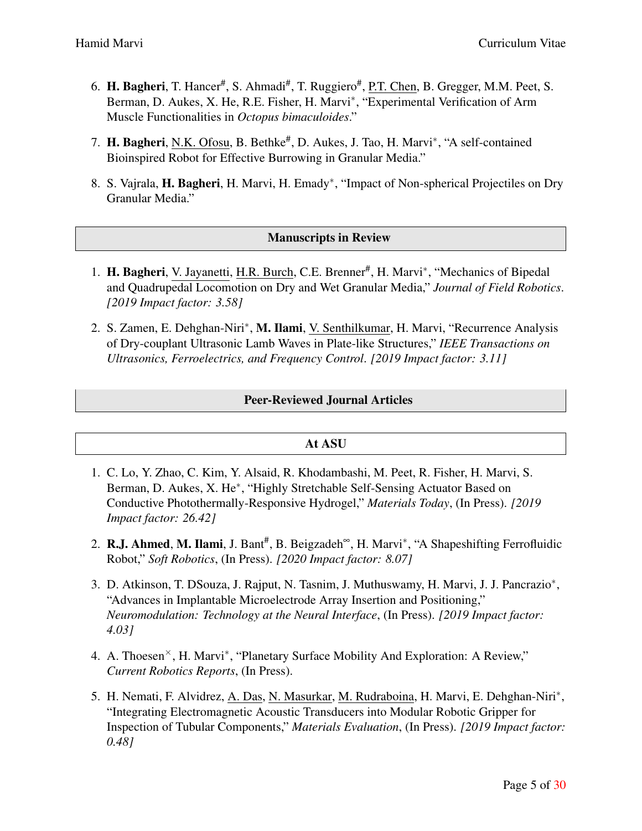- 6. H. Bagheri, T. Hancer<sup>#</sup>, S. Ahmadi<sup>#</sup>, T. Ruggiero<sup>#</sup>, <u>P.T. Chen,</u> B. Gregger, M.M. Peet, S. Berman, D. Aukes, X. He, R.E. Fisher, H. Marvi*∗* , "Experimental Verification of Arm Muscle Functionalities in *Octopus bimaculoides*."
- 7. **H. Bagheri**, N.K. Ofosu, B. Bethke<sup>#</sup>, D. Aukes, J. Tao, H. Marvi<sup>∗</sup>, "A self-contained Bioinspired Robot for Effective Burrowing in Granular Media."
- 8. S. Vajrala, H. Bagheri, H. Marvi, H. Emady*∗* , "Impact of Non-spherical Projectiles on Dry Granular Media."

### Manuscripts in Review

- 1. H. Bagheri, V. Jayanetti, H.R. Burch, C.E. Brenner# , H. Marvi*∗* , "Mechanics of Bipedal and Quadrupedal Locomotion on Dry and Wet Granular Media," *Journal of Field Robotics*. *[2019 Impact factor: 3.58]*
- 2. S. Zamen, E. Dehghan-Niri*∗* , M. Ilami, V. Senthilkumar, H. Marvi, "Recurrence Analysis of Dry-couplant Ultrasonic Lamb Waves in Plate-like Structures," *IEEE Transactions on Ultrasonics, Ferroelectrics, and Frequency Control*. *[2019 Impact factor: 3.11]*

### Peer-Reviewed Journal Articles

#### At ASU

- 1. C. Lo, Y. Zhao, C. Kim, Y. Alsaid, R. Khodambashi, M. Peet, R. Fisher, H. Marvi, S. Berman, D. Aukes, X. He*∗* , "Highly Stretchable Self-Sensing Actuator Based on Conductive Photothermally-Responsive Hydrogel," *Materials Today*, (In Press). *[2019 Impact factor: 26.42]*
- 2. R.J. Ahmed, M. Ilami, J. Bant<sup>#</sup>, B. Beigzadeh<sup>∞</sup>, H. Marvi<sup>∗</sup>, "A Shapeshifting Ferrofluidic Robot," *Soft Robotics*, (In Press). *[2020 Impact factor: 8.07]*
- 3. D. Atkinson, T. DSouza, J. Rajput, N. Tasnim, J. Muthuswamy, H. Marvi, J. J. Pancrazio*∗* , "Advances in Implantable Microelectrode Array Insertion and Positioning," *Neuromodulation: Technology at the Neural Interface*, (In Press). *[2019 Impact factor: 4.03]*
- 4. A. Thoesen*×*, H. Marvi*∗* , "Planetary Surface Mobility And Exploration: A Review," *Current Robotics Reports*, (In Press).
- 5. H. Nemati, F. Alvidrez, <u>A. Das, N. Masurkar, M. Rudraboina</u>, H. Marvi, E. Dehghan-Niri<sup>\*</sup>, "Integrating Electromagnetic Acoustic Transducers into Modular Robotic Gripper for Inspection of Tubular Components," *Materials Evaluation*, (In Press). *[2019 Impact factor: 0.48]*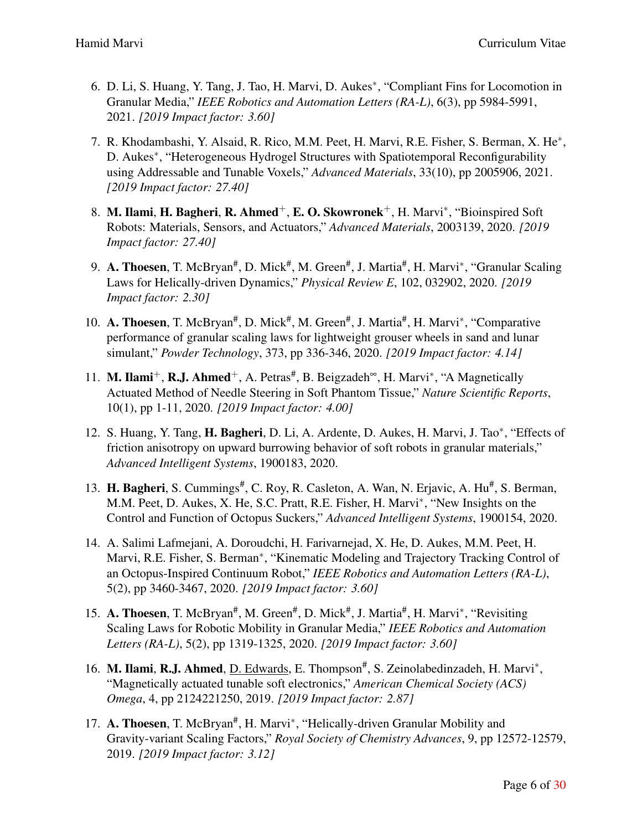- 6. D. Li, S. Huang, Y. Tang, J. Tao, H. Marvi, D. Aukes*∗* , "Compliant Fins for Locomotion in Granular Media," *IEEE Robotics and Automation Letters (RA-L)*, 6(3), pp 5984-5991, 2021. *[2019 Impact factor: 3.60]*
- 7. R. Khodambashi, Y. Alsaid, R. Rico, M.M. Peet, H. Marvi, R.E. Fisher, S. Berman, X. He*∗* , D. Aukes*∗* , "Heterogeneous Hydrogel Structures with Spatiotemporal Reconfigurability using Addressable and Tunable Voxels," *Advanced Materials*, 33(10), pp 2005906, 2021. *[2019 Impact factor: 27.40]*
- 8. M. Ilami, H. Bagheri, R. Ahmed<sup>+</sup>, E. O. Skowronek<sup>+</sup>, H. Marvi<sup>\*</sup>, "Bioinspired Soft Robots: Materials, Sensors, and Actuators," *Advanced Materials*, 2003139, 2020. *[2019 Impact factor: 27.40]*
- 9. A. Thoesen, T. McBryan<sup>#</sup>, D. Mick<sup>#</sup>, M. Green<sup>#</sup>, J. Martia<sup>#</sup>, H. Marvi<sup>\*</sup>, "Granular Scaling Laws for Helically-driven Dynamics," *Physical Review E*, 102, 032902, 2020. *[2019 Impact factor: 2.30]*
- 10. A. Thoesen, T. McBryan<sup>#</sup>, D. Mick<sup>#</sup>, M. Green<sup>#</sup>, J. Martia<sup>#</sup>, H. Marvi<sup>∗</sup>, "Comparative performance of granular scaling laws for lightweight grouser wheels in sand and lunar simulant," *Powder Technology*, 373, pp 336-346, 2020. *[2019 Impact factor: 4.14]*
- 11. M. Ilami<sup>+</sup>, R.J. Ahmed<sup>+</sup>, A. Petras<sup>#</sup>, B. Beigzadeh<sup>∞</sup>, H. Marvi<sup>\*</sup>, "A Magnetically Actuated Method of Needle Steering in Soft Phantom Tissue," *Nature Scientific Reports*, 10(1), pp 1-11, 2020. *[2019 Impact factor: 4.00]*
- 12. S. Huang, Y. Tang, H. Bagheri, D. Li, A. Ardente, D. Aukes, H. Marvi, J. Tao*∗* , "Effects of friction anisotropy on upward burrowing behavior of soft robots in granular materials," *Advanced Intelligent Systems*, 1900183, 2020.
- 13. H. Bagheri, S. Cummings<sup>#</sup>, C. Roy, R. Casleton, A. Wan, N. Erjavic, A. Hu<sup>#</sup>, S. Berman, M.M. Peet, D. Aukes, X. He, S.C. Pratt, R.E. Fisher, H. Marvi*∗* , "New Insights on the Control and Function of Octopus Suckers," *Advanced Intelligent Systems*, 1900154, 2020.
- 14. A. Salimi Lafmejani, A. Doroudchi, H. Farivarnejad, X. He, D. Aukes, M.M. Peet, H. Marvi, R.E. Fisher, S. Berman*∗* , "Kinematic Modeling and Trajectory Tracking Control of an Octopus-Inspired Continuum Robot," *IEEE Robotics and Automation Letters (RA-L)*, 5(2), pp 3460-3467, 2020. *[2019 Impact factor: 3.60]*
- 15. A. Thoesen, T. McBryan<sup>#</sup>, M. Green<sup>#</sup>, D. Mick<sup>#</sup>, J. Martia<sup>#</sup>, H. Marvi<sup>\*</sup>, "Revisiting Scaling Laws for Robotic Mobility in Granular Media," *IEEE Robotics and Automation Letters (RA-L)*, 5(2), pp 1319-1325, 2020. *[2019 Impact factor: 3.60]*
- 16. M. Ilami, R.J. Ahmed, D. Edwards, E. Thompson<sup>#</sup>, S. Zeinolabedinzadeh, H. Marvi<sup>\*</sup>, "Magnetically actuated tunable soft electronics," *American Chemical Society (ACS) Omega*, 4, pp 2124221250, 2019. *[2019 Impact factor: 2.87]*
- 17. A. Thoesen, T. McBryan<sup>#</sup>, H. Marvi<sup>\*</sup>, "Helically-driven Granular Mobility and Gravity-variant Scaling Factors," *Royal Society of Chemistry Advances*, 9, pp 12572-12579, 2019. *[2019 Impact factor: 3.12]*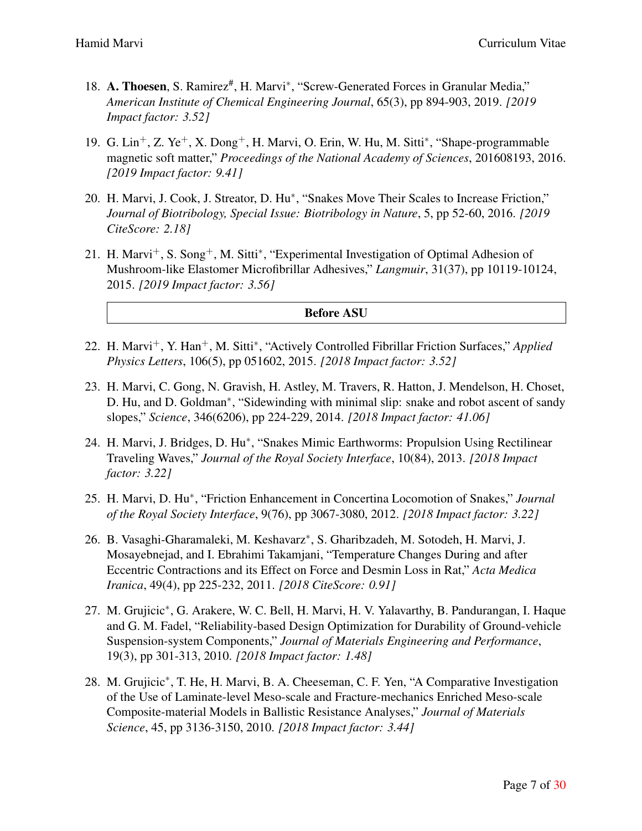- 18. A. Thoesen, S. Ramirez<sup>#</sup>, H. Marvi<sup>\*</sup>, "Screw-Generated Forces in Granular Media," *American Institute of Chemical Engineering Journal*, 65(3), pp 894-903, 2019. *[2019 Impact factor: 3.52]*
- 19. G. Lin+, Z. Ye+, X. Dong+, H. Marvi, O. Erin, W. Hu, M. Sitti*<sup>∗</sup>* , "Shape-programmable magnetic soft matter," *Proceedings of the National Academy of Sciences*, 201608193, 2016. *[2019 Impact factor: 9.41]*
- 20. H. Marvi, J. Cook, J. Streator, D. Hu*∗* , "Snakes Move Their Scales to Increase Friction," *Journal of Biotribology, Special Issue: Biotribology in Nature*, 5, pp 52-60, 2016. *[2019 CiteScore: 2.18]*
- 21. H. Marvi<sup>+</sup>, S. Song<sup>+</sup>, M. Sitti<sup>\*</sup>, "Experimental Investigation of Optimal Adhesion of Mushroom-like Elastomer Microfibrillar Adhesives," *Langmuir*, 31(37), pp 10119-10124, 2015. *[2019 Impact factor: 3.56]*

#### Before ASU

- 22. H. Marvi<sup>+</sup>, Y. Han<sup>+</sup>, M. Sitti<sup>\*</sup>, "Actively Controlled Fibrillar Friction Surfaces," *Applied Physics Letters*, 106(5), pp 051602, 2015. *[2018 Impact factor: 3.52]*
- 23. H. Marvi, C. Gong, N. Gravish, H. Astley, M. Travers, R. Hatton, J. Mendelson, H. Choset, D. Hu, and D. Goldman*∗* , "Sidewinding with minimal slip: snake and robot ascent of sandy slopes," *Science*, 346(6206), pp 224-229, 2014. *[2018 Impact factor: 41.06]*
- 24. H. Marvi, J. Bridges, D. Hu*∗* , "Snakes Mimic Earthworms: Propulsion Using Rectilinear Traveling Waves," *Journal of the Royal Society Interface*, 10(84), 2013. *[2018 Impact factor: 3.22]*
- 25. H. Marvi, D. Hu*∗* , "Friction Enhancement in Concertina Locomotion of Snakes," *Journal of the Royal Society Interface*, 9(76), pp 3067-3080, 2012. *[2018 Impact factor: 3.22]*
- 26. B. Vasaghi-Gharamaleki, M. Keshavarz*∗* , S. Gharibzadeh, M. Sotodeh, H. Marvi, J. Mosayebnejad, and I. Ebrahimi Takamjani, "Temperature Changes During and after Eccentric Contractions and its Effect on Force and Desmin Loss in Rat," *Acta Medica Iranica*, 49(4), pp 225-232, 2011. *[2018 CiteScore: 0.91]*
- 27. M. Grujicic*∗* , G. Arakere, W. C. Bell, H. Marvi, H. V. Yalavarthy, B. Pandurangan, I. Haque and G. M. Fadel, "Reliability-based Design Optimization for Durability of Ground-vehicle Suspension-system Components," *Journal of Materials Engineering and Performance*, 19(3), pp 301-313, 2010. *[2018 Impact factor: 1.48]*
- 28. M. Grujicic*∗* , T. He, H. Marvi, B. A. Cheeseman, C. F. Yen, "A Comparative Investigation of the Use of Laminate-level Meso-scale and Fracture-mechanics Enriched Meso-scale Composite-material Models in Ballistic Resistance Analyses," *Journal of Materials Science*, 45, pp 3136-3150, 2010. *[2018 Impact factor: 3.44]*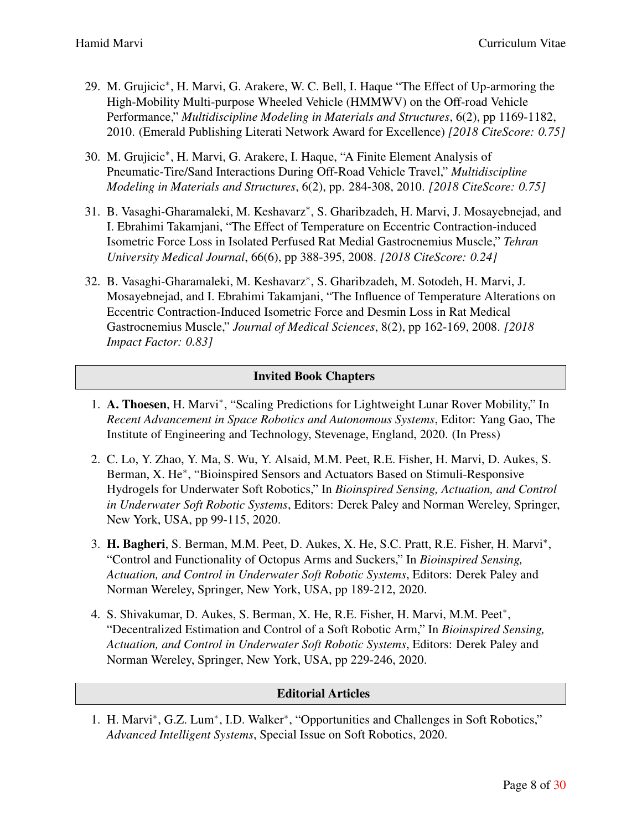- 29. M. Grujicic*∗* , H. Marvi, G. Arakere, W. C. Bell, I. Haque "The Effect of Up-armoring the High-Mobility Multi-purpose Wheeled Vehicle (HMMWV) on the Off-road Vehicle Performance," *Multidiscipline Modeling in Materials and Structures*, 6(2), pp 1169-1182, 2010. (Emerald Publishing Literati Network Award for Excellence) *[2018 CiteScore: 0.75]*
- 30. M. Grujicic*∗* , H. Marvi, G. Arakere, I. Haque, "A Finite Element Analysis of Pneumatic-Tire/Sand Interactions During Off-Road Vehicle Travel," *Multidiscipline Modeling in Materials and Structures*, 6(2), pp. 284-308, 2010. *[2018 CiteScore: 0.75]*
- 31. B. Vasaghi-Gharamaleki, M. Keshavarz*∗* , S. Gharibzadeh, H. Marvi, J. Mosayebnejad, and I. Ebrahimi Takamjani, "The Effect of Temperature on Eccentric Contraction-induced Isometric Force Loss in Isolated Perfused Rat Medial Gastrocnemius Muscle," *Tehran University Medical Journal*, 66(6), pp 388-395, 2008. *[2018 CiteScore: 0.24]*
- 32. B. Vasaghi-Gharamaleki, M. Keshavarz*∗* , S. Gharibzadeh, M. Sotodeh, H. Marvi, J. Mosayebnejad, and I. Ebrahimi Takamjani, "The Influence of Temperature Alterations on Eccentric Contraction-Induced Isometric Force and Desmin Loss in Rat Medical Gastrocnemius Muscle," *Journal of Medical Sciences*, 8(2), pp 162-169, 2008. *[2018 Impact Factor: 0.83]*

# Invited Book Chapters

- 1. A. Thoesen, H. Marvi*∗* , "Scaling Predictions for Lightweight Lunar Rover Mobility," In *Recent Advancement in Space Robotics and Autonomous Systems*, Editor: Yang Gao, The Institute of Engineering and Technology, Stevenage, England, 2020. (In Press)
- 2. C. Lo, Y. Zhao, Y. Ma, S. Wu, Y. Alsaid, M.M. Peet, R.E. Fisher, H. Marvi, D. Aukes, S. Berman, X. He<sup>\*</sup>, "Bioinspired Sensors and Actuators Based on Stimuli-Responsive Hydrogels for Underwater Soft Robotics," In *Bioinspired Sensing, Actuation, and Control in Underwater Soft Robotic Systems*, Editors: Derek Paley and Norman Wereley, Springer, New York, USA, pp 99-115, 2020.
- 3. H. Bagheri, S. Berman, M.M. Peet, D. Aukes, X. He, S.C. Pratt, R.E. Fisher, H. Marvi*∗* , "Control and Functionality of Octopus Arms and Suckers," In *Bioinspired Sensing, Actuation, and Control in Underwater Soft Robotic Systems*, Editors: Derek Paley and Norman Wereley, Springer, New York, USA, pp 189-212, 2020.
- 4. S. Shivakumar, D. Aukes, S. Berman, X. He, R.E. Fisher, H. Marvi, M.M. Peet*∗* , "Decentralized Estimation and Control of a Soft Robotic Arm," In *Bioinspired Sensing, Actuation, and Control in Underwater Soft Robotic Systems*, Editors: Derek Paley and Norman Wereley, Springer, New York, USA, pp 229-246, 2020.

#### Editorial Articles

1. H. Marvi*∗* , G.Z. Lum*∗* , I.D. Walker*∗* , "Opportunities and Challenges in Soft Robotics," *Advanced Intelligent Systems*, Special Issue on Soft Robotics, 2020.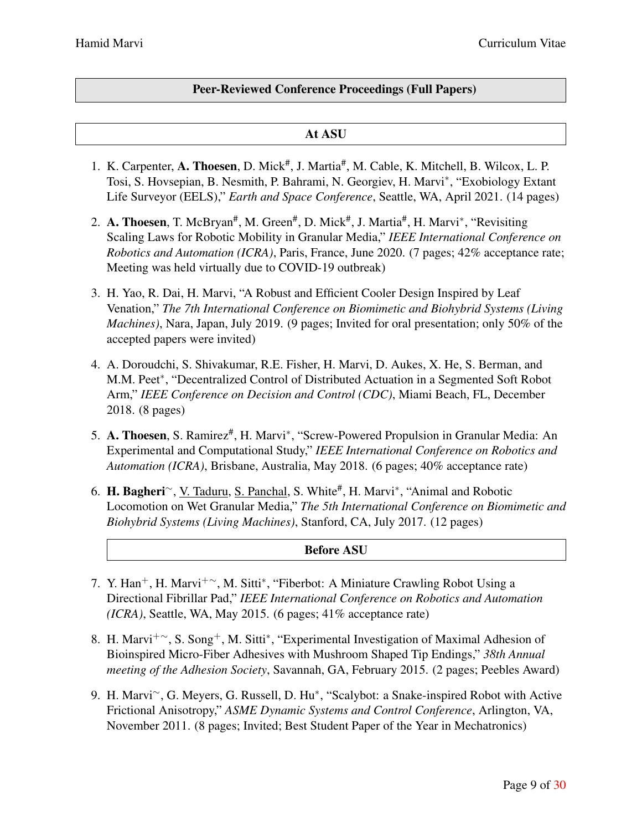### Peer-Reviewed Conference Proceedings (Full Papers)

### At ASU

- 1. K. Carpenter, A. Thoesen, D. Mick<sup>#</sup>, J. Martia<sup>#</sup>, M. Cable, K. Mitchell, B. Wilcox, L. P. Tosi, S. Hovsepian, B. Nesmith, P. Bahrami, N. Georgiev, H. Marvi*∗* , "Exobiology Extant Life Surveyor (EELS)," *Earth and Space Conference*, Seattle, WA, April 2021. (14 pages)
- 2. A. Thoesen, T. McBryan<sup>#</sup>, M. Green<sup>#</sup>, D. Mick<sup>#</sup>, J. Martia<sup>#</sup>, H. Marvi<sup>\*</sup>, "Revisiting Scaling Laws for Robotic Mobility in Granular Media," *IEEE International Conference on Robotics and Automation (ICRA)*, Paris, France, June 2020. (7 pages; 42% acceptance rate; Meeting was held virtually due to COVID-19 outbreak)
- 3. H. Yao, R. Dai, H. Marvi, "A Robust and Efficient Cooler Design Inspired by Leaf Venation," *The 7th International Conference on Biomimetic and Biohybrid Systems (Living Machines)*, Nara, Japan, July 2019. (9 pages; Invited for oral presentation; only 50% of the accepted papers were invited)
- 4. A. Doroudchi, S. Shivakumar, R.E. Fisher, H. Marvi, D. Aukes, X. He, S. Berman, and M.M. Peet*∗* , "Decentralized Control of Distributed Actuation in a Segmented Soft Robot Arm," *IEEE Conference on Decision and Control (CDC)*, Miami Beach, FL, December 2018. (8 pages)
- 5. A. Thoesen, S. Ramirez<sup>#</sup>, H. Marvi<sup>∗</sup>, "Screw-Powered Propulsion in Granular Media: An Experimental and Computational Study," *IEEE International Conference on Robotics and Automation (ICRA)*, Brisbane, Australia, May 2018. (6 pages; 40% acceptance rate)
- 6. H. Bagheri*∼*, V. Taduru, S. Panchal, S. White# , H. Marvi*∗* , "Animal and Robotic Locomotion on Wet Granular Media," *The 5th International Conference on Biomimetic and Biohybrid Systems (Living Machines)*, Stanford, CA, July 2017. (12 pages)

#### Before ASU

- 7. Y. Han<sup>+</sup>, H. Marvi<sup>+</sup><sup>~</sup>, M. Sitti<sup>\*</sup>, "Fiberbot: A Miniature Crawling Robot Using a Directional Fibrillar Pad," *IEEE International Conference on Robotics and Automation (ICRA)*, Seattle, WA, May 2015. (6 pages; 41% acceptance rate)
- 8. H. Marvi<sup>+</sup>~, S. Song<sup>+</sup>, M. Sitti<sup>\*</sup>, "Experimental Investigation of Maximal Adhesion of Bioinspired Micro-Fiber Adhesives with Mushroom Shaped Tip Endings," *38th Annual meeting of the Adhesion Society*, Savannah, GA, February 2015. (2 pages; Peebles Award)
- 9. H. Marvi*∼*, G. Meyers, G. Russell, D. Hu*∗* , "Scalybot: a Snake-inspired Robot with Active Frictional Anisotropy," *ASME Dynamic Systems and Control Conference*, Arlington, VA, November 2011. (8 pages; Invited; Best Student Paper of the Year in Mechatronics)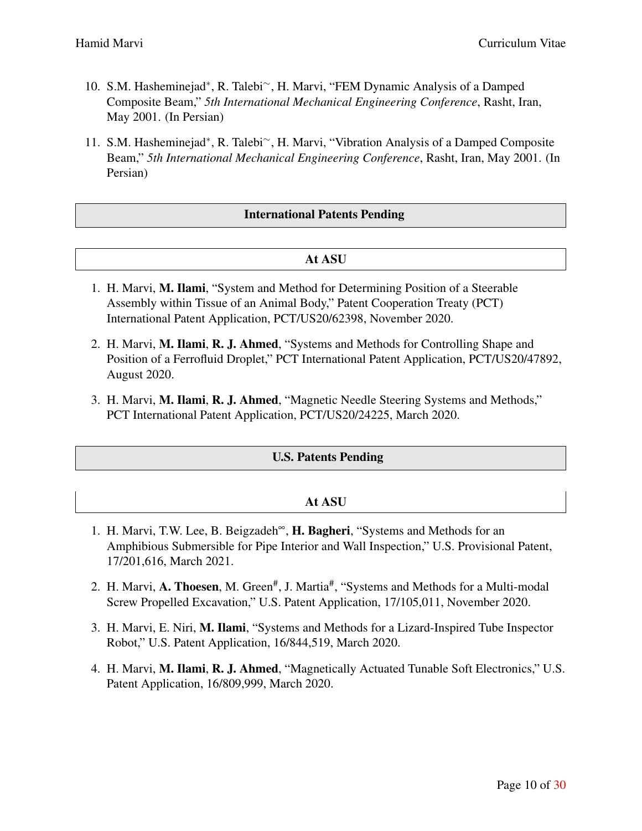- 10. S.M. Hasheminejad*∗* , R. Talebi*∼*, H. Marvi, "FEM Dynamic Analysis of a Damped Composite Beam," *5th International Mechanical Engineering Conference*, Rasht, Iran, May 2001. (In Persian)
- 11. S.M. Hasheminejad*∗* , R. Talebi*∼*, H. Marvi, "Vibration Analysis of a Damped Composite Beam," *5th International Mechanical Engineering Conference*, Rasht, Iran, May 2001. (In Persian)

# International Patents Pending

### At ASU

- 1. H. Marvi, M. Ilami, "System and Method for Determining Position of a Steerable Assembly within Tissue of an Animal Body," Patent Cooperation Treaty (PCT) International Patent Application, PCT/US20/62398, November 2020.
- 2. H. Marvi, M. Ilami, R. J. Ahmed, "Systems and Methods for Controlling Shape and Position of a Ferrofluid Droplet," PCT International Patent Application, PCT/US20/47892, August 2020.
- 3. H. Marvi, M. Ilami, R. J. Ahmed, "Magnetic Needle Steering Systems and Methods," PCT International Patent Application, PCT/US20/24225, March 2020.

#### U.S. Patents Pending

| At ASU                                                                                     |
|--------------------------------------------------------------------------------------------|
| 1. H. Marvi, T.W. Lee, B. Beigzadeh <sup>o</sup> , H. Bagheri, "Systems and Methods for an |

- Amphibious Submersible for Pipe Interior and Wall Inspection," U.S. Provisional Patent, 17/201,616, March 2021.
- 2. H. Marvi, A. Thoesen, M. Green<sup>#</sup>, J. Martia<sup>#</sup>, "Systems and Methods for a Multi-modal Screw Propelled Excavation," U.S. Patent Application, 17/105,011, November 2020.
- 3. H. Marvi, E. Niri, M. Ilami, "Systems and Methods for a Lizard-Inspired Tube Inspector Robot," U.S. Patent Application, 16/844,519, March 2020.
- 4. H. Marvi, M. Ilami, R. J. Ahmed, "Magnetically Actuated Tunable Soft Electronics," U.S. Patent Application, 16/809,999, March 2020.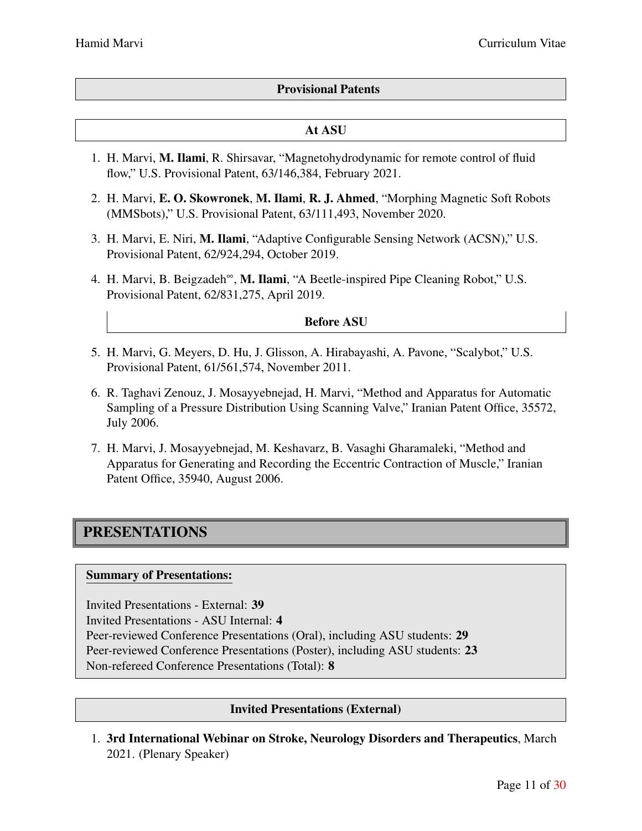# Provisional Patents

#### At ASU

- 1. H. Marvi, M. Ilami, R. Shirsavar, "Magnetohydrodynamic for remote control of fluid flow," U.S. Provisional Patent, 63/146,384, February 2021.
- 2. H. Marvi, E. O. Skowronek, M. Ilami, R. J. Ahmed, "Morphing Magnetic Soft Robots (MMSbots)," U.S. Provisional Patent, 63/111,493, November 2020.
- 3. H. Marvi, E. Niri, M. Ilami, "Adaptive Configurable Sensing Network (ACSN)," U.S. Provisional Patent, 62/924,294, October 2019.
- 4. H. Marvi, B. Beigzadeh∞, M. Ilami, "A Beetle-inspired Pipe Cleaning Robot," U.S. Provisional Patent, 62/831,275, April 2019.

#### Before ASU

- 5. H. Marvi, G. Meyers, D. Hu, J. Glisson, A. Hirabayashi, A. Pavone, "Scalybot," U.S. Provisional Patent, 61/561,574, November 2011.
- 6. R. Taghavi Zenouz, J. Mosayyebnejad, H. Marvi, "Method and Apparatus for Automatic Sampling of a Pressure Distribution Using Scanning Valve," Iranian Patent Office, 35572, July 2006.
- 7. H. Marvi, J. Mosayyebnejad, M. Keshavarz, B. Vasaghi Gharamaleki, "Method and Apparatus for Generating and Recording the Eccentric Contraction of Muscle," Iranian Patent Office, 35940, August 2006.

# PRESENTATIONS

#### Summary of Presentations:

Invited Presentations - External: 39 Invited Presentations - ASU Internal: 4 Peer-reviewed Conference Presentations (Oral), including ASU students: 29 Peer-reviewed Conference Presentations (Poster), including ASU students: 23 Non-refereed Conference Presentations (Total): 8

#### Invited Presentations (External)

1. 3rd International Webinar on Stroke, Neurology Disorders and Therapeutics, March 2021. (Plenary Speaker)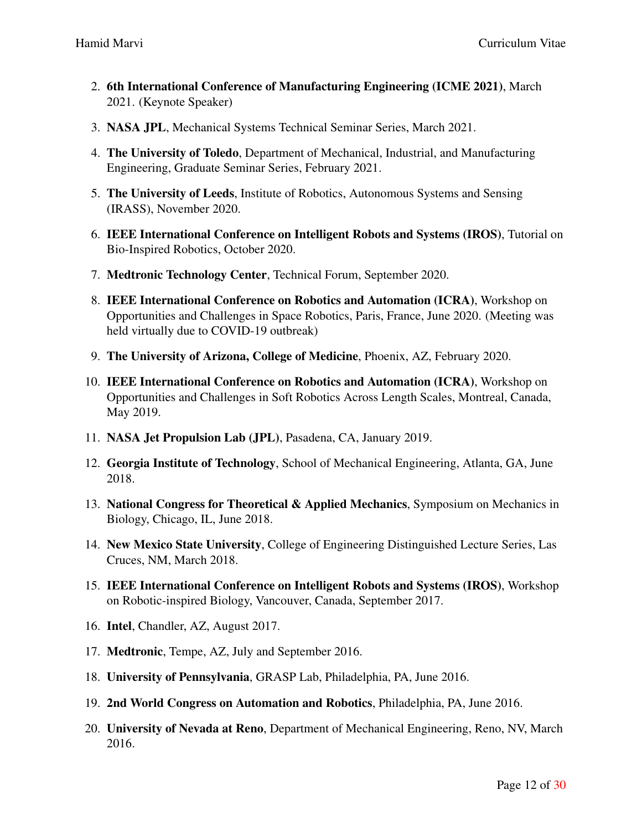- 2. 6th International Conference of Manufacturing Engineering (ICME 2021), March 2021. (Keynote Speaker)
- 3. NASA JPL, Mechanical Systems Technical Seminar Series, March 2021.
- 4. The University of Toledo, Department of Mechanical, Industrial, and Manufacturing Engineering, Graduate Seminar Series, February 2021.
- 5. The University of Leeds, Institute of Robotics, Autonomous Systems and Sensing (IRASS), November 2020.
- 6. IEEE International Conference on Intelligent Robots and Systems (IROS), Tutorial on Bio-Inspired Robotics, October 2020.
- 7. Medtronic Technology Center, Technical Forum, September 2020.
- 8. IEEE International Conference on Robotics and Automation (ICRA), Workshop on Opportunities and Challenges in Space Robotics, Paris, France, June 2020. (Meeting was held virtually due to COVID-19 outbreak)
- 9. The University of Arizona, College of Medicine, Phoenix, AZ, February 2020.
- 10. IEEE International Conference on Robotics and Automation (ICRA), Workshop on Opportunities and Challenges in Soft Robotics Across Length Scales, Montreal, Canada, May 2019.
- 11. NASA Jet Propulsion Lab (JPL), Pasadena, CA, January 2019.
- 12. Georgia Institute of Technology, School of Mechanical Engineering, Atlanta, GA, June 2018.
- 13. National Congress for Theoretical  $\&$  Applied Mechanics, Symposium on Mechanics in Biology, Chicago, IL, June 2018.
- 14. New Mexico State University, College of Engineering Distinguished Lecture Series, Las Cruces, NM, March 2018.
- 15. IEEE International Conference on Intelligent Robots and Systems (IROS), Workshop on Robotic-inspired Biology, Vancouver, Canada, September 2017.
- 16. Intel, Chandler, AZ, August 2017.
- 17. Medtronic, Tempe, AZ, July and September 2016.
- 18. University of Pennsylvania, GRASP Lab, Philadelphia, PA, June 2016.
- 19. 2nd World Congress on Automation and Robotics, Philadelphia, PA, June 2016.
- 20. University of Nevada at Reno, Department of Mechanical Engineering, Reno, NV, March 2016.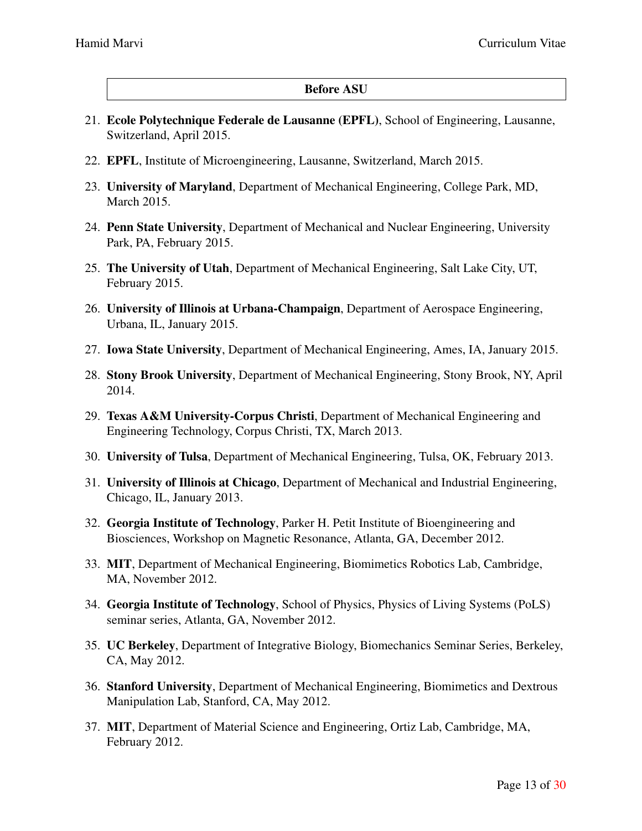#### Before ASU

- 21. Ecole Polytechnique Federale de Lausanne (EPFL), School of Engineering, Lausanne, Switzerland, April 2015.
- 22. EPFL, Institute of Microengineering, Lausanne, Switzerland, March 2015.
- 23. University of Maryland, Department of Mechanical Engineering, College Park, MD, March 2015.
- 24. Penn State University, Department of Mechanical and Nuclear Engineering, University Park, PA, February 2015.
- 25. The University of Utah, Department of Mechanical Engineering, Salt Lake City, UT, February 2015.
- 26. University of Illinois at Urbana-Champaign, Department of Aerospace Engineering, Urbana, IL, January 2015.
- 27. Iowa State University, Department of Mechanical Engineering, Ames, IA, January 2015.
- 28. Stony Brook University, Department of Mechanical Engineering, Stony Brook, NY, April 2014.
- 29. Texas A&M University-Corpus Christi, Department of Mechanical Engineering and Engineering Technology, Corpus Christi, TX, March 2013.
- 30. University of Tulsa, Department of Mechanical Engineering, Tulsa, OK, February 2013.
- 31. University of Illinois at Chicago, Department of Mechanical and Industrial Engineering, Chicago, IL, January 2013.
- 32. Georgia Institute of Technology, Parker H. Petit Institute of Bioengineering and Biosciences, Workshop on Magnetic Resonance, Atlanta, GA, December 2012.
- 33. MIT, Department of Mechanical Engineering, Biomimetics Robotics Lab, Cambridge, MA, November 2012.
- 34. Georgia Institute of Technology, School of Physics, Physics of Living Systems (PoLS) seminar series, Atlanta, GA, November 2012.
- 35. UC Berkeley, Department of Integrative Biology, Biomechanics Seminar Series, Berkeley, CA, May 2012.
- 36. Stanford University, Department of Mechanical Engineering, Biomimetics and Dextrous Manipulation Lab, Stanford, CA, May 2012.
- 37. MIT, Department of Material Science and Engineering, Ortiz Lab, Cambridge, MA, February 2012.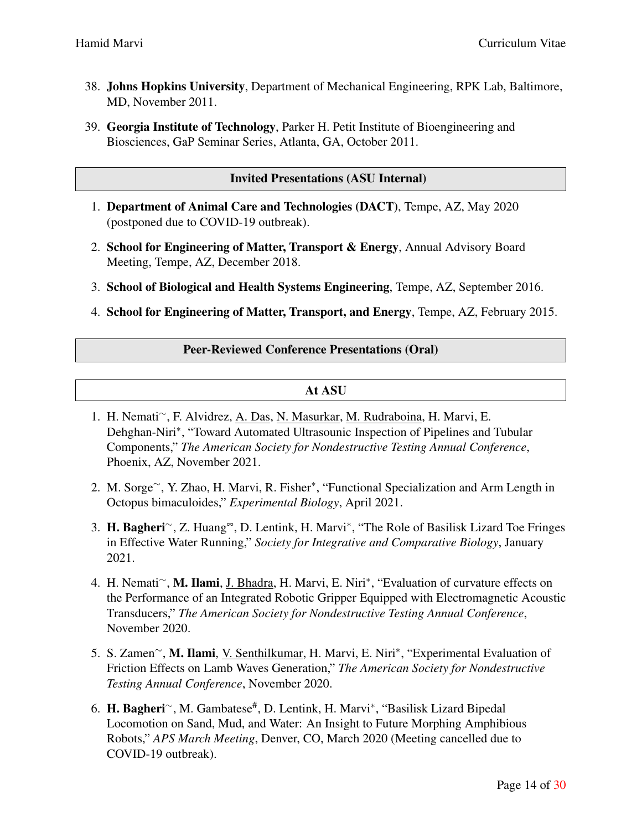- 38. Johns Hopkins University, Department of Mechanical Engineering, RPK Lab, Baltimore, MD, November 2011.
- 39. Georgia Institute of Technology, Parker H. Petit Institute of Bioengineering and Biosciences, GaP Seminar Series, Atlanta, GA, October 2011.

#### Invited Presentations (ASU Internal)

- 1. Department of Animal Care and Technologies (DACT), Tempe, AZ, May 2020 (postponed due to COVID-19 outbreak).
- 2. School for Engineering of Matter, Transport & Energy, Annual Advisory Board Meeting, Tempe, AZ, December 2018.
- 3. School of Biological and Health Systems Engineering, Tempe, AZ, September 2016.
- 4. School for Engineering of Matter, Transport, and Energy, Tempe, AZ, February 2015.

### Peer-Reviewed Conference Presentations (Oral)

### At ASU

- 1. H. Nemati*∼*, F. Alvidrez, A. Das, N. Masurkar, M. Rudraboina, H. Marvi, E. Dehghan-Niri*∗* , "Toward Automated Ultrasounic Inspection of Pipelines and Tubular Components," *The American Society for Nondestructive Testing Annual Conference*, Phoenix, AZ, November 2021.
- 2. M. Sorge*∼*, Y. Zhao, H. Marvi, R. Fisher*∗* , "Functional Specialization and Arm Length in Octopus bimaculoides," *Experimental Biology*, April 2021.
- 3. H. Bagheri*∼*, Z. Huang∞, D. Lentink, H. Marvi*<sup>∗</sup>* , "The Role of Basilisk Lizard Toe Fringes in Effective Water Running," *Society for Integrative and Comparative Biology*, January 2021.
- 4. H. Nemati*∼*, M. Ilami, J. Bhadra, H. Marvi, E. Niri*∗* , "Evaluation of curvature effects on the Performance of an Integrated Robotic Gripper Equipped with Electromagnetic Acoustic Transducers," *The American Society for Nondestructive Testing Annual Conference*, November 2020.
- 5. S. Zamen*∼*, M. Ilami, V. Senthilkumar, H. Marvi, E. Niri*∗* , "Experimental Evaluation of Friction Effects on Lamb Waves Generation," *The American Society for Nondestructive Testing Annual Conference*, November 2020.
- 6. H. Bagheri*∼*, M. Gambatese# , D. Lentink, H. Marvi*∗* , "Basilisk Lizard Bipedal Locomotion on Sand, Mud, and Water: An Insight to Future Morphing Amphibious Robots," *APS March Meeting*, Denver, CO, March 2020 (Meeting cancelled due to COVID-19 outbreak).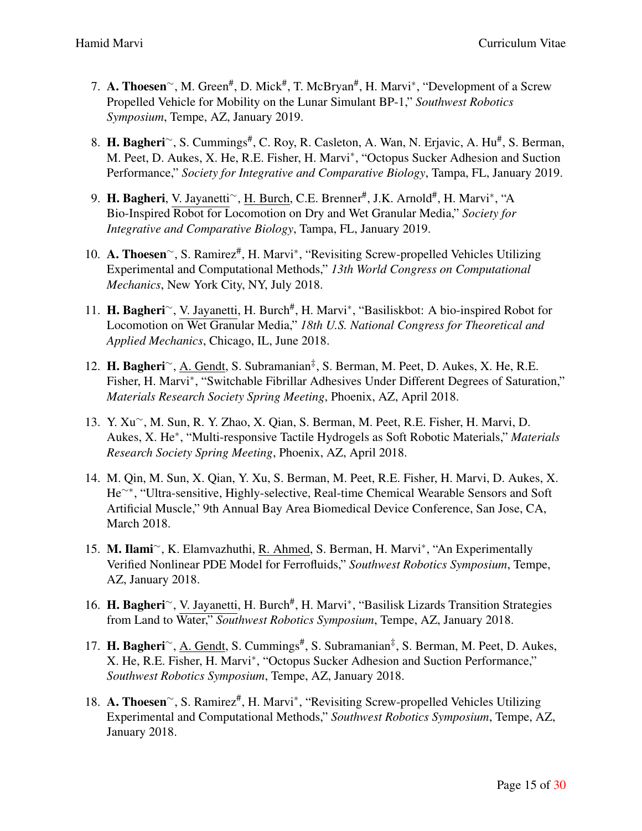- 7. A. Thoesen<sup>∼</sup>, M. Green<sup>#</sup>, D. Mick<sup>#</sup>, T. McBryan<sup>#</sup>, H. Marvi<sup>\*</sup>, "Development of a Screw Propelled Vehicle for Mobility on the Lunar Simulant BP-1," *Southwest Robotics Symposium*, Tempe, AZ, January 2019.
- 8. H. Bagheri<sup>∼</sup>, S. Cummings<sup>#</sup>, C. Roy, R. Casleton, A. Wan, N. Erjavic, A. Hu<sup>#</sup>, S. Berman, M. Peet, D. Aukes, X. He, R.E. Fisher, H. Marvi*∗* , "Octopus Sucker Adhesion and Suction Performance," *Society for Integrative and Comparative Biology*, Tampa, FL, January 2019.
- 9. **H. Bagheri**, V. Jayanetti~, <u>H. Burch</u>, C.E. Brenner<sup>#</sup>, J.K. Arnold<sup>#</sup>, H. Marvi<sup>∗</sup>, "A Bio-Inspired Robot for Locomotion on Dry and Wet Granular Media," *Society for Integrative and Comparative Biology*, Tampa, FL, January 2019.
- 10. A. Thoesen<sup>~</sup>, S. Ramirez<sup>#</sup>, H. Marvi<sup>\*</sup>, "Revisiting Screw-propelled Vehicles Utilizing Experimental and Computational Methods," *13th World Congress on Computational Mechanics*, New York City, NY, July 2018.
- 11. H. Bagheri<sup>~</sup>, V. Jayanetti, H. Burch<sup>#</sup>, H. Marvi<sup>\*</sup>, "Basiliskbot: A bio-inspired Robot for Locomotion on Wet Granular Media," *18th U.S. National Congress for Theoretical and Applied Mechanics*, Chicago, IL, June 2018.
- 12. H. Bagheri<sup>∼</sup>, A. Gendt, S. Subramanian<sup>‡</sup>, S. Berman, M. Peet, D. Aukes, X. He, R.E. Fisher, H. Marvi*∗* , "Switchable Fibrillar Adhesives Under Different Degrees of Saturation," *Materials Research Society Spring Meeting*, Phoenix, AZ, April 2018.
- 13. Y. Xu*∼*, M. Sun, R. Y. Zhao, X. Qian, S. Berman, M. Peet, R.E. Fisher, H. Marvi, D. Aukes, X. He*∗* , "Multi-responsive Tactile Hydrogels as Soft Robotic Materials," *Materials Research Society Spring Meeting*, Phoenix, AZ, April 2018.
- 14. M. Qin, M. Sun, X. Qian, Y. Xu, S. Berman, M. Peet, R.E. Fisher, H. Marvi, D. Aukes, X. He*∼∗*, "Ultra-sensitive, Highly-selective, Real-time Chemical Wearable Sensors and Soft Artificial Muscle," 9th Annual Bay Area Biomedical Device Conference, San Jose, CA, March 2018.
- 15. M. Ilami*∼*, K. Elamvazhuthi, R. Ahmed, S. Berman, H. Marvi*∗* , "An Experimentally Verified Nonlinear PDE Model for Ferrofluids," *Southwest Robotics Symposium*, Tempe, AZ, January 2018.
- 16. H. Bagheri<sup>~</sup>, V. Jayanetti, H. Burch<sup>#</sup>, H. Marvi<sup>\*</sup>, "Basilisk Lizards Transition Strategies from Land to Water," *Southwest Robotics Symposium*, Tempe, AZ, January 2018.
- 17. **H. Bagheri**<sup>∼</sup>, <u>A. Gendt</u>, S. Cummings<sup>#</sup>, S. Subramanian<sup>‡</sup>, S. Berman, M. Peet, D. Aukes, X. He, R.E. Fisher, H. Marvi*∗* , "Octopus Sucker Adhesion and Suction Performance," *Southwest Robotics Symposium*, Tempe, AZ, January 2018.
- 18. A. Thoesen<sup>~</sup>, S. Ramirez<sup>#</sup>, H. Marvi<sup>\*</sup>, "Revisiting Screw-propelled Vehicles Utilizing Experimental and Computational Methods," *Southwest Robotics Symposium*, Tempe, AZ, January 2018.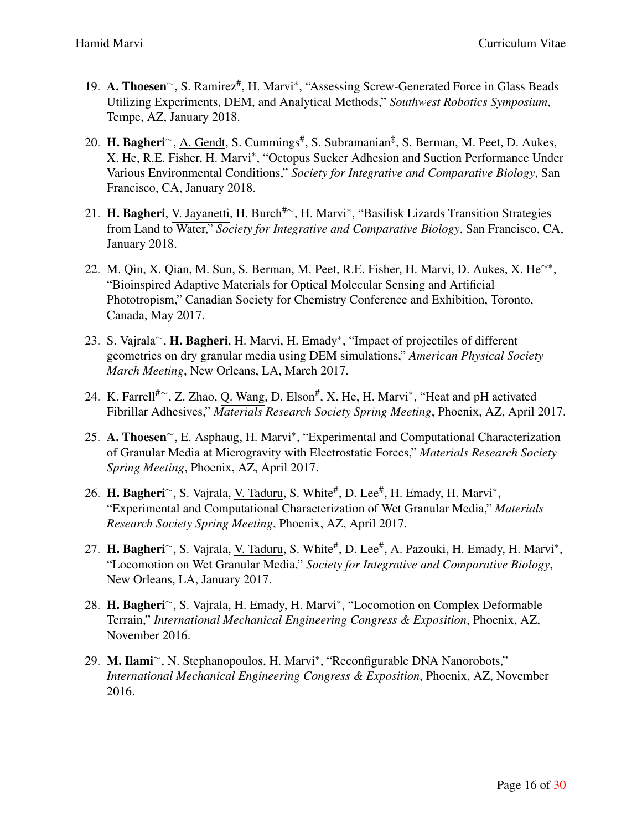- 19. A. Thoesen<sup>∼</sup>, S. Ramirez<sup>#</sup>, H. Marvi<sup>\*</sup>, "Assessing Screw-Generated Force in Glass Beads Utilizing Experiments, DEM, and Analytical Methods," *Southwest Robotics Symposium*, Tempe, AZ, January 2018.
- 20. **H. Bagheri**∼, <u>A. Gendt</u>, S. Cummings<sup>#</sup>, S. Subramanian<sup>‡</sup>, S. Berman, M. Peet, D. Aukes, X. He, R.E. Fisher, H. Marvi*∗* , "Octopus Sucker Adhesion and Suction Performance Under Various Environmental Conditions," *Society for Integrative and Comparative Biology*, San Francisco, CA, January 2018.
- 21. H. Bagheri, V. Jayanetti, H. Burch<sup>#</sup>∼, H. Marvi<sup>\*</sup>, "Basilisk Lizards Transition Strategies from Land to Water," *Society for Integrative and Comparative Biology*, San Francisco, CA, January 2018.
- 22. M. Qin, X. Qian, M. Sun, S. Berman, M. Peet, R.E. Fisher, H. Marvi, D. Aukes, X. He*∼∗* , "Bioinspired Adaptive Materials for Optical Molecular Sensing and Artificial Phototropism," Canadian Society for Chemistry Conference and Exhibition, Toronto, Canada, May 2017.
- 23. S. Vajrala*∼*, H. Bagheri, H. Marvi, H. Emady*∗* , "Impact of projectiles of different geometries on dry granular media using DEM simulations," *American Physical Society March Meeting*, New Orleans, LA, March 2017.
- 24. K. Farrell<sup>#</sup>∼, Z. Zhao, Q. Wang, D. Elson<sup>#</sup>, X. He, H. Marvi<sup>∗</sup>, "Heat and pH activated Fibrillar Adhesives," *Materials Research Society Spring Meeting*, Phoenix, AZ, April 2017.
- 25. A. Thoesen<sup>∼</sup>, E. Asphaug, H. Marvi<sup>\*</sup>, "Experimental and Computational Characterization of Granular Media at Microgravity with Electrostatic Forces," *Materials Research Society Spring Meeting*, Phoenix, AZ, April 2017.
- 26. **H. Bagheri**∼, S. Vajrala, <u>V. Taduru</u>, S. White<sup>#</sup>, D. Lee<sup>#</sup>, H. Emady, H. Marvi<sup>\*</sup>, "Experimental and Computational Characterization of Wet Granular Media," *Materials Research Society Spring Meeting*, Phoenix, AZ, April 2017.
- 27. **H. Bagheri**∼, S. Vajrala, <u>V. Taduru,</u> S. White<sup>#</sup>, D. Lee<sup>#</sup>, A. Pazouki, H. Emady, H. Marvi<sup>\*</sup>, "Locomotion on Wet Granular Media," *Society for Integrative and Comparative Biology*, New Orleans, LA, January 2017.
- 28. H. Bagheri*∼*, S. Vajrala, H. Emady, H. Marvi*∗* , "Locomotion on Complex Deformable Terrain," *International Mechanical Engineering Congress & Exposition*, Phoenix, AZ, November 2016.
- 29. M. Ilami*∼*, N. Stephanopoulos, H. Marvi*∗* , "Reconfigurable DNA Nanorobots," *International Mechanical Engineering Congress & Exposition*, Phoenix, AZ, November 2016.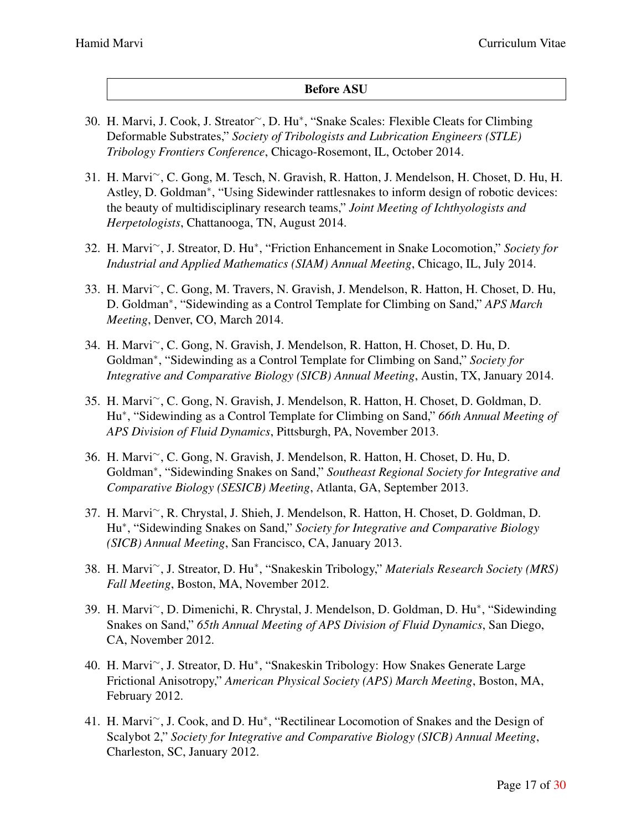# Before ASU

- 30. H. Marvi, J. Cook, J. Streator*∼*, D. Hu*∗* , "Snake Scales: Flexible Cleats for Climbing Deformable Substrates," *Society of Tribologists and Lubrication Engineers (STLE) Tribology Frontiers Conference*, Chicago-Rosemont, IL, October 2014.
- 31. H. Marvi*∼*, C. Gong, M. Tesch, N. Gravish, R. Hatton, J. Mendelson, H. Choset, D. Hu, H. Astley, D. Goldman*∗* , "Using Sidewinder rattlesnakes to inform design of robotic devices: the beauty of multidisciplinary research teams," *Joint Meeting of Ichthyologists and Herpetologists*, Chattanooga, TN, August 2014.
- 32. H. Marvi*∼*, J. Streator, D. Hu*∗* , "Friction Enhancement in Snake Locomotion," *Society for Industrial and Applied Mathematics (SIAM) Annual Meeting*, Chicago, IL, July 2014.
- 33. H. Marvi*∼*, C. Gong, M. Travers, N. Gravish, J. Mendelson, R. Hatton, H. Choset, D. Hu, D. Goldman*∗* , "Sidewinding as a Control Template for Climbing on Sand," *APS March Meeting*, Denver, CO, March 2014.
- 34. H. Marvi*∼*, C. Gong, N. Gravish, J. Mendelson, R. Hatton, H. Choset, D. Hu, D. Goldman*∗* , "Sidewinding as a Control Template for Climbing on Sand," *Society for Integrative and Comparative Biology (SICB) Annual Meeting*, Austin, TX, January 2014.
- 35. H. Marvi*∼*, C. Gong, N. Gravish, J. Mendelson, R. Hatton, H. Choset, D. Goldman, D. Hu*∗* , "Sidewinding as a Control Template for Climbing on Sand," *66th Annual Meeting of APS Division of Fluid Dynamics*, Pittsburgh, PA, November 2013.
- 36. H. Marvi*∼*, C. Gong, N. Gravish, J. Mendelson, R. Hatton, H. Choset, D. Hu, D. Goldman*∗* , "Sidewinding Snakes on Sand," *Southeast Regional Society for Integrative and Comparative Biology (SESICB) Meeting*, Atlanta, GA, September 2013.
- 37. H. Marvi*∼*, R. Chrystal, J. Shieh, J. Mendelson, R. Hatton, H. Choset, D. Goldman, D. Hu*∗* , "Sidewinding Snakes on Sand," *Society for Integrative and Comparative Biology (SICB) Annual Meeting*, San Francisco, CA, January 2013.
- 38. H. Marvi*∼*, J. Streator, D. Hu*∗* , "Snakeskin Tribology," *Materials Research Society (MRS) Fall Meeting*, Boston, MA, November 2012.
- 39. H. Marvi*∼*, D. Dimenichi, R. Chrystal, J. Mendelson, D. Goldman, D. Hu*∗* , "Sidewinding Snakes on Sand," *65th Annual Meeting of APS Division of Fluid Dynamics*, San Diego, CA, November 2012.
- 40. H. Marvi*∼*, J. Streator, D. Hu*∗* , "Snakeskin Tribology: How Snakes Generate Large Frictional Anisotropy," *American Physical Society (APS) March Meeting*, Boston, MA, February 2012.
- 41. H. Marvi*∼*, J. Cook, and D. Hu*∗* , "Rectilinear Locomotion of Snakes and the Design of Scalybot 2," *Society for Integrative and Comparative Biology (SICB) Annual Meeting*, Charleston, SC, January 2012.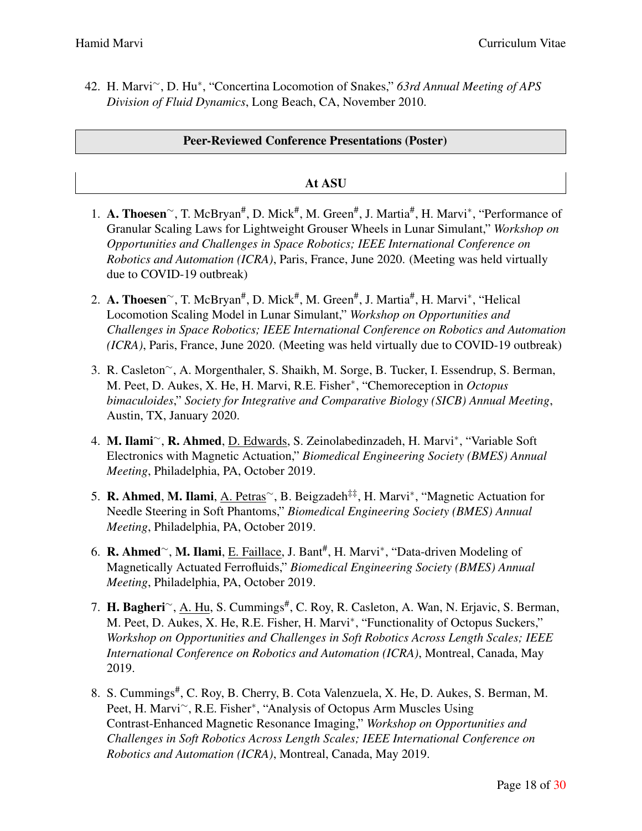42. H. Marvi*∼*, D. Hu*∗* , "Concertina Locomotion of Snakes," *63rd Annual Meeting of APS Division of Fluid Dynamics*, Long Beach, CA, November 2010.

#### Peer-Reviewed Conference Presentations (Poster)

#### At ASU

- 1. A. Thoesen<sup>∼</sup>, T. McBryan<sup>#</sup>, D. Mick<sup>#</sup>, M. Green<sup>#</sup>, J. Martia<sup>#</sup>, H. Marvi<sup>\*</sup>, "Performance of Granular Scaling Laws for Lightweight Grouser Wheels in Lunar Simulant," *Workshop on Opportunities and Challenges in Space Robotics; IEEE International Conference on Robotics and Automation (ICRA)*, Paris, France, June 2020. (Meeting was held virtually due to COVID-19 outbreak)
- 2. A. Thoesen<sup>∼</sup>, T. McBryan<sup>#</sup>, D. Mick<sup>#</sup>, M. Green<sup>#</sup>, J. Martia<sup>#</sup>, H. Marvi<sup>∗</sup>, "Helical Locomotion Scaling Model in Lunar Simulant," *Workshop on Opportunities and Challenges in Space Robotics; IEEE International Conference on Robotics and Automation (ICRA)*, Paris, France, June 2020. (Meeting was held virtually due to COVID-19 outbreak)
- 3. R. Casleton*∼*, A. Morgenthaler, S. Shaikh, M. Sorge, B. Tucker, I. Essendrup, S. Berman, M. Peet, D. Aukes, X. He, H. Marvi, R.E. Fisher*∗* , "Chemoreception in *Octopus bimaculoides*," *Society for Integrative and Comparative Biology (SICB) Annual Meeting*, Austin, TX, January 2020.
- 4. M. Ilami*∼*, R. Ahmed, D. Edwards, S. Zeinolabedinzadeh, H. Marvi*∗* , "Variable Soft Electronics with Magnetic Actuation," *Biomedical Engineering Society (BMES) Annual Meeting*, Philadelphia, PA, October 2019.
- 5. **R. Ahmed, M. Ilami**, A. Petras<sup>∼</sup>, B. Beigzadeh<sup>‡‡</sup>, H. Marvi<sup>∗</sup>, "Magnetic Actuation for Needle Steering in Soft Phantoms," *Biomedical Engineering Society (BMES) Annual Meeting*, Philadelphia, PA, October 2019.
- 6. R. Ahmed*∼*, M. Ilami, E. Faillace, J. Bant# , H. Marvi*∗* , "Data-driven Modeling of Magnetically Actuated Ferrofluids," *Biomedical Engineering Society (BMES) Annual Meeting*, Philadelphia, PA, October 2019.
- 7. H. Bagheri<sup>∼</sup>, A. Hu, S. Cummings<sup>#</sup>, C. Roy, R. Casleton, A. Wan, N. Erjavic, S. Berman, M. Peet, D. Aukes, X. He, R.E. Fisher, H. Marvi*∗* , "Functionality of Octopus Suckers," *Workshop on Opportunities and Challenges in Soft Robotics Across Length Scales; IEEE International Conference on Robotics and Automation (ICRA)*, Montreal, Canada, May 2019.
- 8. S. Cummings<sup>#</sup>, C. Roy, B. Cherry, B. Cota Valenzuela, X. He, D. Aukes, S. Berman, M. Peet, H. Marvi*∼*, R.E. Fisher*∗* , "Analysis of Octopus Arm Muscles Using Contrast-Enhanced Magnetic Resonance Imaging," *Workshop on Opportunities and Challenges in Soft Robotics Across Length Scales; IEEE International Conference on Robotics and Automation (ICRA)*, Montreal, Canada, May 2019.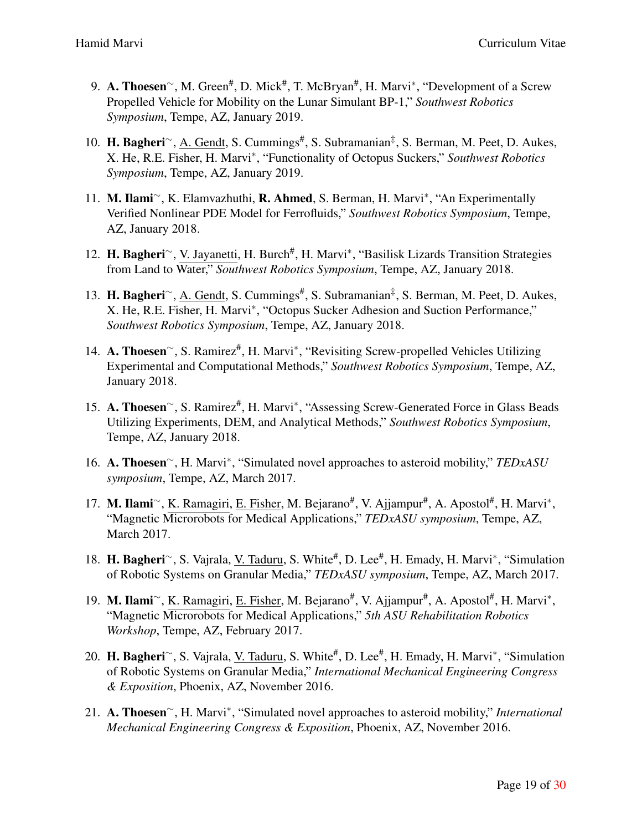- 9. A. Thoesen<sup>∼</sup>, M. Green<sup>#</sup>, D. Mick<sup>#</sup>, T. McBryan<sup>#</sup>, H. Marvi<sup>\*</sup>, "Development of a Screw Propelled Vehicle for Mobility on the Lunar Simulant BP-1," *Southwest Robotics Symposium*, Tempe, AZ, January 2019.
- 10. H. Bagheri<sup>∼</sup>, A. Gendt, S. Cummings<sup>#</sup>, S. Subramanian<sup>‡</sup>, S. Berman, M. Peet, D. Aukes, X. He, R.E. Fisher, H. Marvi*∗* , "Functionality of Octopus Suckers," *Southwest Robotics Symposium*, Tempe, AZ, January 2019.
- 11. M. Ilami*∼*, K. Elamvazhuthi, R. Ahmed, S. Berman, H. Marvi*∗* , "An Experimentally Verified Nonlinear PDE Model for Ferrofluids," *Southwest Robotics Symposium*, Tempe, AZ, January 2018.
- 12. H. Bagheri<sup>~</sup>, V. Jayanetti, H. Burch<sup>#</sup>, H. Marvi<sup>\*</sup>, "Basilisk Lizards Transition Strategies from Land to Water," *Southwest Robotics Symposium*, Tempe, AZ, January 2018.
- 13. H. Bagheri<sup>∼</sup>, A. Gendt, S. Cummings<sup>#</sup>, S. Subramanian<sup>‡</sup>, S. Berman, M. Peet, D. Aukes, X. He, R.E. Fisher, H. Marvi*∗* , "Octopus Sucker Adhesion and Suction Performance," *Southwest Robotics Symposium*, Tempe, AZ, January 2018.
- 14. A. Thoesen<sup>~</sup>, S. Ramirez<sup>#</sup>, H. Marvi<sup>\*</sup>, "Revisiting Screw-propelled Vehicles Utilizing Experimental and Computational Methods," *Southwest Robotics Symposium*, Tempe, AZ, January 2018.
- 15. A. Thoesen<sup>∼</sup>, S. Ramirez<sup>#</sup>, H. Marvi<sup>\*</sup>, "Assessing Screw-Generated Force in Glass Beads Utilizing Experiments, DEM, and Analytical Methods," *Southwest Robotics Symposium*, Tempe, AZ, January 2018.
- 16. A. Thoesen*∼*, H. Marvi*∗* , "Simulated novel approaches to asteroid mobility," *TEDxASU symposium*, Tempe, AZ, March 2017.
- 17. M. Ilami<sup>∼</sup>, K. Ramagiri, <u>E. Fisher</u>, M. Bejarano<sup>#</sup>, V. Ajjampur<sup>#</sup>, A. Apostol<sup>#</sup>, H. Marvi<sup>\*</sup>, "Magnetic Microrobots for Medical Applications," *TEDxASU symposium*, Tempe, AZ, March 2017.
- 18. H. Bagheri<sup>∼</sup>, S. Vajrala, <u>V. Taduru</u>, S. White<sup>#</sup>, D. Lee<sup>#</sup>, H. Emady, H. Marvi<sup>\*</sup>, "Simulation of Robotic Systems on Granular Media," *TEDxASU symposium*, Tempe, AZ, March 2017.
- 19. M. Ilami<sup>~</sup>, K. Ramagiri, E. Fisher, M. Bejarano<sup>#</sup>, V. Ajjampur<sup>#</sup>, A. Apostol<sup>#</sup>, H. Marvi<sup>\*</sup>, "Magnetic Microrobots for Medical Applications," *5th ASU Rehabilitation Robotics Workshop*, Tempe, AZ, February 2017.
- 20. H. Bagheri<sup>∼</sup>, S. Vajrala, <u>V. Taduru</u>, S. White<sup>#</sup>, D. Lee<sup>#</sup>, H. Emady, H. Marvi<sup>∗</sup>, "Simulation of Robotic Systems on Granular Media," *International Mechanical Engineering Congress & Exposition*, Phoenix, AZ, November 2016.
- 21. A. Thoesen*∼*, H. Marvi*∗* , "Simulated novel approaches to asteroid mobility," *International Mechanical Engineering Congress & Exposition*, Phoenix, AZ, November 2016.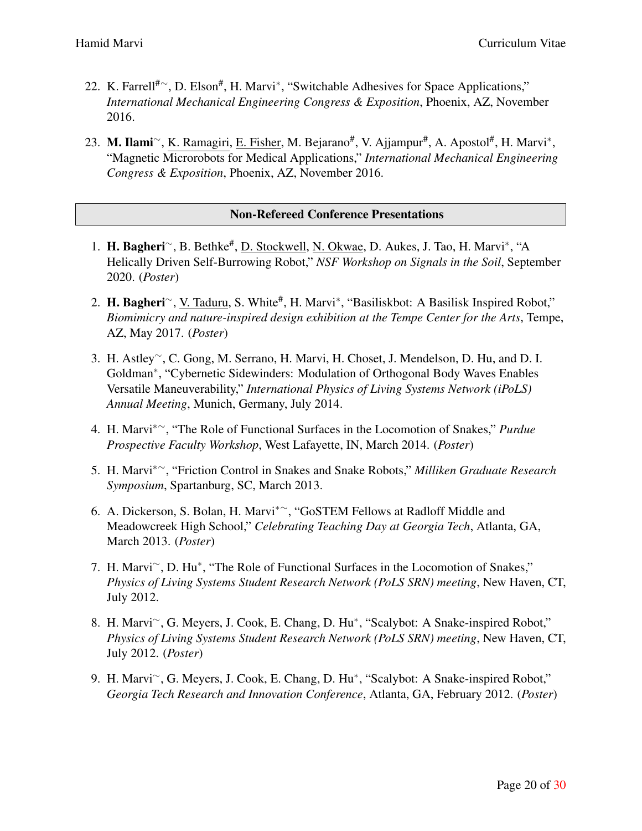- 22. K. Farrell<sup>#</sup><sup>∼</sup>, D. Elson<sup>#</sup>, H. Marvi<sup>∗</sup>, "Switchable Adhesives for Space Applications," *International Mechanical Engineering Congress & Exposition*, Phoenix, AZ, November 2016.
- 23. **M. Ilami**∼, K. Ramagiri, <u>E. Fisher,</u> M. Bejarano<sup>#</sup>, V. Ajjampur<sup>#</sup>, A. Apostol<sup>#</sup>, H. Marvi<sup>\*</sup>, "Magnetic Microrobots for Medical Applications," *International Mechanical Engineering Congress & Exposition*, Phoenix, AZ, November 2016.

# Non-Refereed Conference Presentations

- 1. H. Bagheri*∼*, B. Bethke# , D. Stockwell, N. Okwae, D. Aukes, J. Tao, H. Marvi*∗* , "A Helically Driven Self-Burrowing Robot," *NSF Workshop on Signals in the Soil*, September 2020. (*Poster*)
- 2. H. Bagheri<sup>∼</sup>, V. Taduru, S. White<sup>#</sup>, H. Marvi<sup>\*</sup>, "Basiliskbot: A Basilisk Inspired Robot," *Biomimicry and nature-inspired design exhibition at the Tempe Center for the Arts*, Tempe, AZ, May 2017. (*Poster*)
- 3. H. Astley*∼*, C. Gong, M. Serrano, H. Marvi, H. Choset, J. Mendelson, D. Hu, and D. I. Goldman*∗* , "Cybernetic Sidewinders: Modulation of Orthogonal Body Waves Enables Versatile Maneuverability," *International Physics of Living Systems Network (iPoLS) Annual Meeting*, Munich, Germany, July 2014.
- 4. H. Marvi*∗∼*, "The Role of Functional Surfaces in the Locomotion of Snakes," *Purdue Prospective Faculty Workshop*, West Lafayette, IN, March 2014. (*Poster*)
- 5. H. Marvi*∗∼*, "Friction Control in Snakes and Snake Robots," *Milliken Graduate Research Symposium*, Spartanburg, SC, March 2013.
- 6. A. Dickerson, S. Bolan, H. Marvi*∗∼*, "GoSTEM Fellows at Radloff Middle and Meadowcreek High School," *Celebrating Teaching Day at Georgia Tech*, Atlanta, GA, March 2013. (*Poster*)
- 7. H. Marvi*∼*, D. Hu*∗* , "The Role of Functional Surfaces in the Locomotion of Snakes," *Physics of Living Systems Student Research Network (PoLS SRN) meeting*, New Haven, CT, July 2012.
- 8. H. Marvi*∼*, G. Meyers, J. Cook, E. Chang, D. Hu*∗* , "Scalybot: A Snake-inspired Robot," *Physics of Living Systems Student Research Network (PoLS SRN) meeting*, New Haven, CT, July 2012. (*Poster*)
- 9. H. Marvi*∼*, G. Meyers, J. Cook, E. Chang, D. Hu*∗* , "Scalybot: A Snake-inspired Robot," *Georgia Tech Research and Innovation Conference*, Atlanta, GA, February 2012. (*Poster*)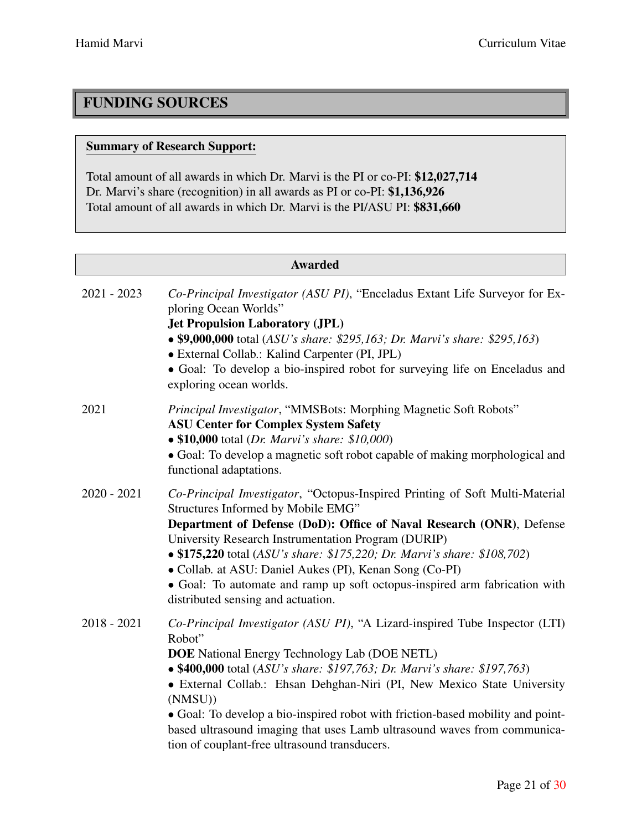# FUNDING SOURCES

# Summary of Research Support:

Total amount of all awards in which Dr. Marvi is the PI or co-PI: \$12,027,714 Dr. Marvi's share (recognition) in all awards as PI or co-PI: \$1,136,926 Total amount of all awards in which Dr. Marvi is the PI/ASU PI: \$831,660

| <b>Awarded</b> |                                                                                                                                                                                                                                                                                                                                                                                                                                                                                                                                 |  |
|----------------|---------------------------------------------------------------------------------------------------------------------------------------------------------------------------------------------------------------------------------------------------------------------------------------------------------------------------------------------------------------------------------------------------------------------------------------------------------------------------------------------------------------------------------|--|
| $2021 - 2023$  | Co-Principal Investigator (ASU PI), "Enceladus Extant Life Surveyor for Ex-<br>ploring Ocean Worlds"<br><b>Jet Propulsion Laboratory (JPL)</b><br>• \$9,000,000 total (ASU's share: \$295,163; Dr. Marvi's share: \$295,163)<br>• External Collab.: Kalind Carpenter (PI, JPL)<br>• Goal: To develop a bio-inspired robot for surveying life on Enceladus and<br>exploring ocean worlds.                                                                                                                                        |  |
| 2021           | Principal Investigator, "MMSBots: Morphing Magnetic Soft Robots"<br><b>ASU Center for Complex System Safety</b><br>• \$10,000 total (Dr. Marvi's share: \$10,000)<br>• Goal: To develop a magnetic soft robot capable of making morphological and<br>functional adaptations.                                                                                                                                                                                                                                                    |  |
| $2020 - 2021$  | Co-Principal Investigator, "Octopus-Inspired Printing of Soft Multi-Material<br>Structures Informed by Mobile EMG"<br>Department of Defense (DoD): Office of Naval Research (ONR), Defense<br>University Research Instrumentation Program (DURIP)<br>• \$175,220 total (ASU's share: \$175,220; Dr. Marvi's share: \$108,702)<br>• Collab. at ASU: Daniel Aukes (PI), Kenan Song (Co-PI)<br>• Goal: To automate and ramp up soft octopus-inspired arm fabrication with<br>distributed sensing and actuation.                    |  |
| $2018 - 2021$  | Co-Principal Investigator (ASU PI), "A Lizard-inspired Tube Inspector (LTI)<br>Robot"<br><b>DOE</b> National Energy Technology Lab (DOE NETL)<br>• \$400,000 total (ASU's share: \$197,763; Dr. Marvi's share: \$197,763)<br>• External Collab.: Ehsan Dehghan-Niri (PI, New Mexico State University<br>(NMSU))<br>• Goal: To develop a bio-inspired robot with friction-based mobility and point-<br>based ultrasound imaging that uses Lamb ultrasound waves from communica-<br>tion of couplant-free ultrasound transducers. |  |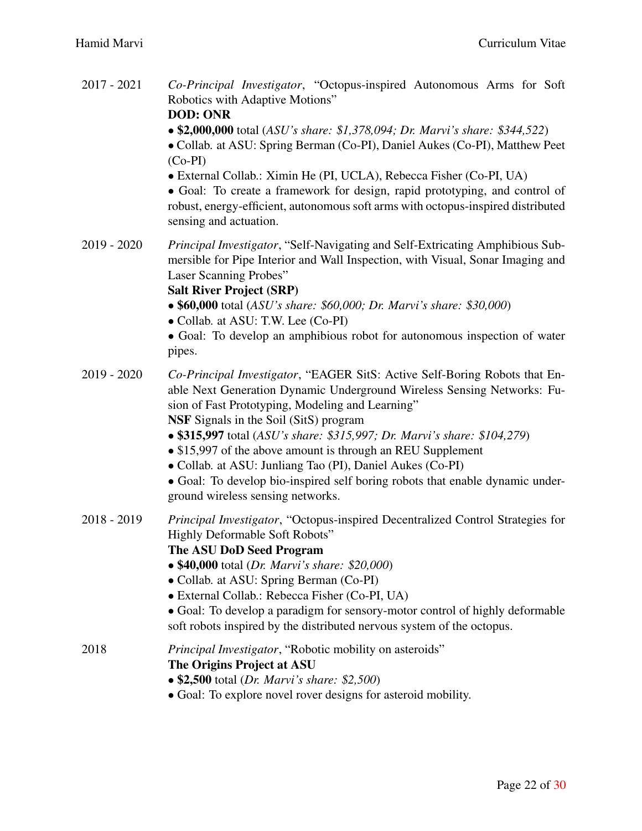| 2017 - 2021 | Co-Principal Investigator, "Octopus-inspired Autonomous Arms for Soft<br>Robotics with Adaptive Motions"<br><b>DOD: ONR</b><br>• \$2,000,000 total (ASU's share: \$1,378,094; Dr. Marvi's share: \$344,522)<br>• Collab. at ASU: Spring Berman (Co-PI), Daniel Aukes (Co-PI), Matthew Peet<br>$(Co-PI)$<br>• External Collab.: Ximin He (PI, UCLA), Rebecca Fisher (Co-PI, UA)<br>• Goal: To create a framework for design, rapid prototyping, and control of<br>robust, energy-efficient, autonomous soft arms with octopus-inspired distributed<br>sensing and actuation.              |
|-------------|------------------------------------------------------------------------------------------------------------------------------------------------------------------------------------------------------------------------------------------------------------------------------------------------------------------------------------------------------------------------------------------------------------------------------------------------------------------------------------------------------------------------------------------------------------------------------------------|
| 2019 - 2020 | Principal Investigator, "Self-Navigating and Self-Extricating Amphibious Sub-<br>mersible for Pipe Interior and Wall Inspection, with Visual, Sonar Imaging and<br>Laser Scanning Probes"<br><b>Salt River Project (SRP)</b><br>• \$60,000 total (ASU's share: \$60,000; Dr. Marvi's share: \$30,000)<br>• Collab. at ASU: T.W. Lee (Co-PI)<br>• Goal: To develop an amphibious robot for autonomous inspection of water<br>pipes.                                                                                                                                                       |
| 2019 - 2020 | Co-Principal Investigator, "EAGER SitS: Active Self-Boring Robots that En-<br>able Next Generation Dynamic Underground Wireless Sensing Networks: Fu-<br>sion of Fast Prototyping, Modeling and Learning"<br><b>NSF</b> Signals in the Soil (SitS) program<br>• \$315,997 total (ASU's share: \$315,997; Dr. Marvi's share: \$104,279)<br>• \$15,997 of the above amount is through an REU Supplement<br>• Collab. at ASU: Junliang Tao (PI), Daniel Aukes (Co-PI)<br>• Goal: To develop bio-inspired self boring robots that enable dynamic under-<br>ground wireless sensing networks. |
| 2018 - 2019 | Principal Investigator, "Octopus-inspired Decentralized Control Strategies for<br><b>Highly Deformable Soft Robots"</b><br>The ASU DoD Seed Program<br>• \$40,000 total (Dr. Marvi's share: \$20,000)<br>• Collab. at ASU: Spring Berman (Co-PI)<br>• External Collab.: Rebecca Fisher (Co-PI, UA)<br>• Goal: To develop a paradigm for sensory-motor control of highly deformable<br>soft robots inspired by the distributed nervous system of the octopus.                                                                                                                             |
| 2018        | Principal Investigator, "Robotic mobility on asteroids"<br>The Origins Project at ASU<br>• \$2,500 total (Dr. Marvi's share: \$2,500)<br>• Goal: To explore novel rover designs for asteroid mobility.                                                                                                                                                                                                                                                                                                                                                                                   |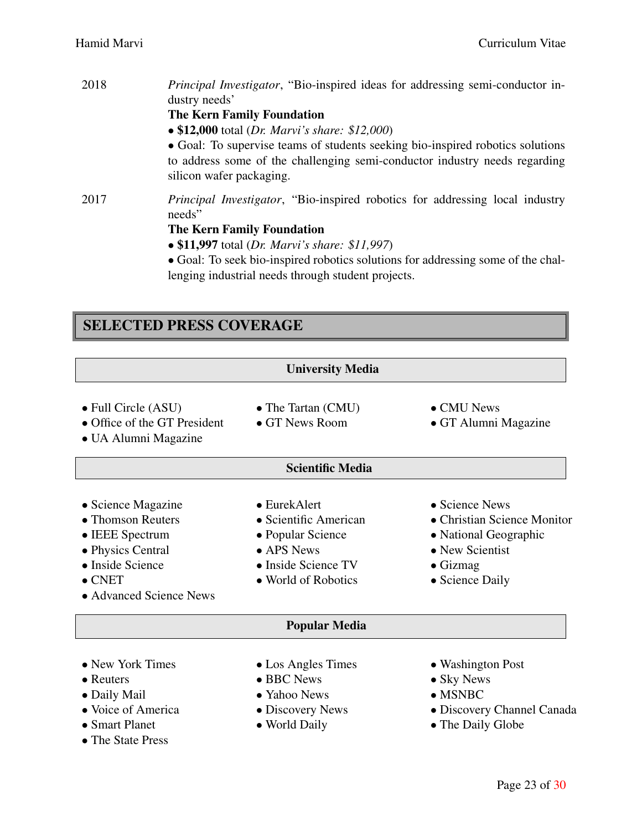| 2018 | Principal Investigator, "Bio-inspired ideas for addressing semi-conductor in-<br>dustry needs'                                                                                           |
|------|------------------------------------------------------------------------------------------------------------------------------------------------------------------------------------------|
|      | <b>The Kern Family Foundation</b>                                                                                                                                                        |
|      | • \$12,000 total (Dr. Marvi's share: \$12,000)                                                                                                                                           |
|      | • Goal: To supervise teams of students seeking bio-inspired robotics solutions<br>to address some of the challenging semi-conductor industry needs regarding<br>silicon wafer packaging. |
| 2017 | <i>Principal Investigator,</i> "Bio-inspired robotics for addressing local industry<br>needs"                                                                                            |
|      | <b>The Kern Family Foundation</b>                                                                                                                                                        |
|      | • \$11,997 total (Dr. Marvi's share: \$11,997)                                                                                                                                           |
|      | • Goal: To seek bio-inspired robotics solutions for addressing some of the chal-                                                                                                         |
|      | lenging industrial needs through student projects.                                                                                                                                       |

# SELECTED PRESS COVERAGE

|                                                                                                                                                  | <b>University Media</b>                                                                                                        |                                                                                                                                  |
|--------------------------------------------------------------------------------------------------------------------------------------------------|--------------------------------------------------------------------------------------------------------------------------------|----------------------------------------------------------------------------------------------------------------------------------|
| • Full Circle (ASU)<br>• Office of the GT President<br>• UA Alumni Magazine                                                                      | • The Tartan (CMU)<br>• GT News Room                                                                                           | • CMU News<br>• GT Alumni Magazine                                                                                               |
|                                                                                                                                                  | <b>Scientific Media</b>                                                                                                        |                                                                                                                                  |
| • Science Magazine<br>• Thomson Reuters<br>• IEEE Spectrum<br>• Physics Central<br>• Inside Science<br>$\bullet$ CNET<br>• Advanced Science News | $\bullet$ EurekAlert<br>• Scientific American<br>• Popular Science<br>• APS News<br>• Inside Science TV<br>• World of Robotics | • Science News<br>• Christian Science Monitor<br>• National Geographic<br>• New Scientist<br>$\bullet$ Gizmag<br>• Science Daily |
|                                                                                                                                                  | <b>Popular Media</b>                                                                                                           |                                                                                                                                  |
| • New York Times<br>$\bullet$ Reuters<br>• Daily Mail<br>• Voice of America<br>• Smart Planet<br>• The State Press                               | • Los Angles Times<br>• BBC News<br>• Yahoo News<br>• Discovery News<br>• World Daily                                          | • Washington Post<br>• Sky News<br>$\bullet$ MSNBC<br>• Discovery Channel Canada<br>• The Daily Globe                            |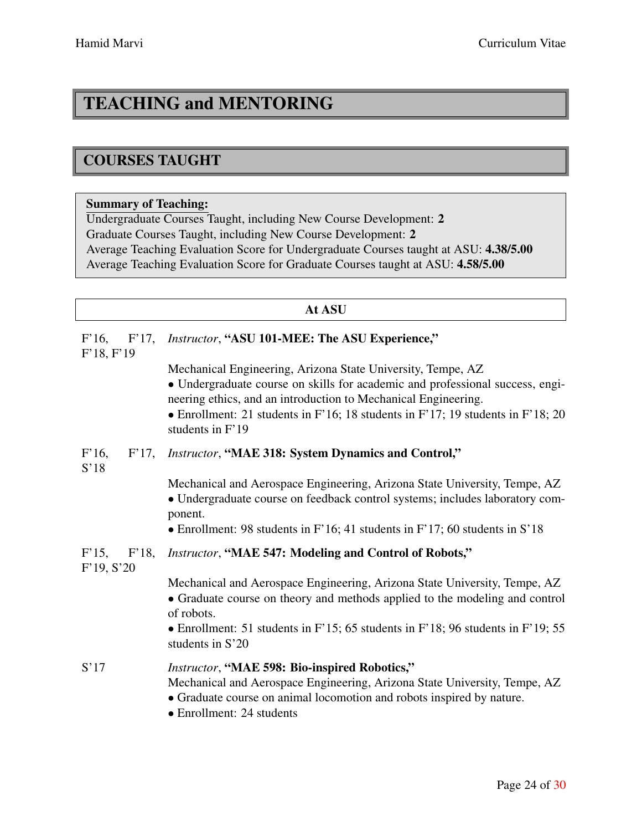# TEACHING and MENTORING

# COURSES TAUGHT

# Summary of Teaching:

Undergraduate Courses Taught, including New Course Development: 2 Graduate Courses Taught, including New Course Development: 2 Average Teaching Evaluation Score for Undergraduate Courses taught at ASU: 4.38/5.00 Average Teaching Evaluation Score for Graduate Courses taught at ASU: 4.58/5.00

| At ASU                             |                                                                                                                                                                                                                                                                                                                       |
|------------------------------------|-----------------------------------------------------------------------------------------------------------------------------------------------------------------------------------------------------------------------------------------------------------------------------------------------------------------------|
| $F'16$ ,<br>$F'17$ ,<br>F'18, F'19 | Instructor, "ASU 101-MEE: The ASU Experience,"                                                                                                                                                                                                                                                                        |
|                                    | Mechanical Engineering, Arizona State University, Tempe, AZ<br>• Undergraduate course on skills for academic and professional success, engi-<br>neering ethics, and an introduction to Mechanical Engineering.<br>• Enrollment: 21 students in F'16; 18 students in F'17; 19 students in F'18; 20<br>students in F'19 |
| $F'16$ ,<br>$F'17$ ,<br>S'18       | <b>Instructor, "MAE 318: System Dynamics and Control,"</b>                                                                                                                                                                                                                                                            |
|                                    | Mechanical and Aerospace Engineering, Arizona State University, Tempe, AZ<br>· Undergraduate course on feedback control systems; includes laboratory com-<br>ponent.                                                                                                                                                  |
|                                    | • Enrollment: 98 students in $F'16$ ; 41 students in $F'17$ ; 60 students in $S'18$                                                                                                                                                                                                                                   |
| F'15, F'18,<br>F'19, S'20          | Instructor, "MAE 547: Modeling and Control of Robots,"                                                                                                                                                                                                                                                                |
|                                    | Mechanical and Aerospace Engineering, Arizona State University, Tempe, AZ<br>• Graduate course on theory and methods applied to the modeling and control<br>of robots.                                                                                                                                                |
|                                    | • Enrollment: 51 students in $F'15$ ; 65 students in $F'18$ ; 96 students in $F'19$ ; 55<br>students in S'20                                                                                                                                                                                                          |
| S'17                               | Instructor, "MAE 598: Bio-inspired Robotics,"<br>Mechanical and Aerospace Engineering, Arizona State University, Tempe, AZ<br>• Graduate course on animal locomotion and robots inspired by nature.<br>• Enrollment: 24 students                                                                                      |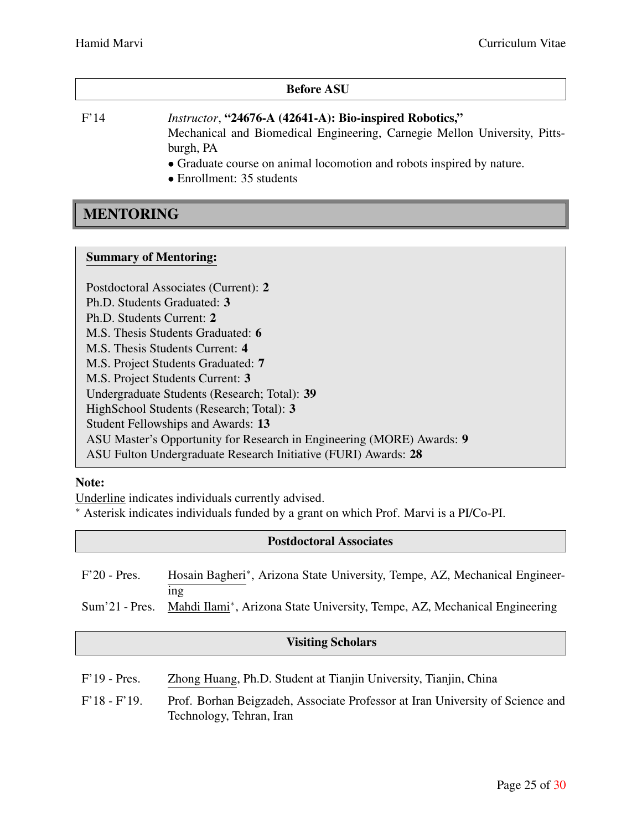#### Before ASU

F'14 *Instructor*, "24676-A (42641-A): Bio-inspired Robotics," Mechanical and Biomedical Engineering, Carnegie Mellon University, Pittsburgh, PA

*•* Graduate course on animal locomotion and robots inspired by nature.

*•* Enrollment: 35 students

# MENTORING

#### Summary of Mentoring:

Postdoctoral Associates (Current): 2 Ph.D. Students Graduated: 3 Ph.D. Students Current: 2 M.S. Thesis Students Graduated: 6 M.S. Thesis Students Current: 4 M.S. Project Students Graduated: 7 M.S. Project Students Current: 3 Undergraduate Students (Research; Total): 39 HighSchool Students (Research; Total): 3 Student Fellowships and Awards: 13 ASU Master's Opportunity for Research in Engineering (MORE) Awards: 9 ASU Fulton Undergraduate Research Initiative (FURI) Awards: 28

# Note:

Underline indicates individuals currently advised.

*∗* Asterisk indicates individuals funded by a grant on which Prof. Marvi is a PI/Co-PI.

#### Postdoctoral Associates

| $F'20$ - Pres.   | Hosain Bagheri*, Arizona State University, Tempe, AZ, Mechanical Engineer-       |
|------------------|----------------------------------------------------------------------------------|
| $Sum'21$ - Pres. | 1ng<br>Mahdi Ilami*, Arizona State University, Tempe, AZ, Mechanical Engineering |

# Visiting Scholars

| $F'19$ - Pres. | Zhong Huang, Ph.D. Student at Tianjin University, Tianjin, China              |
|----------------|-------------------------------------------------------------------------------|
| $F'18 - F'19.$ | Prof. Borhan Beigzadeh, Associate Professor at Iran University of Science and |
|                | Technology, Tehran, Iran                                                      |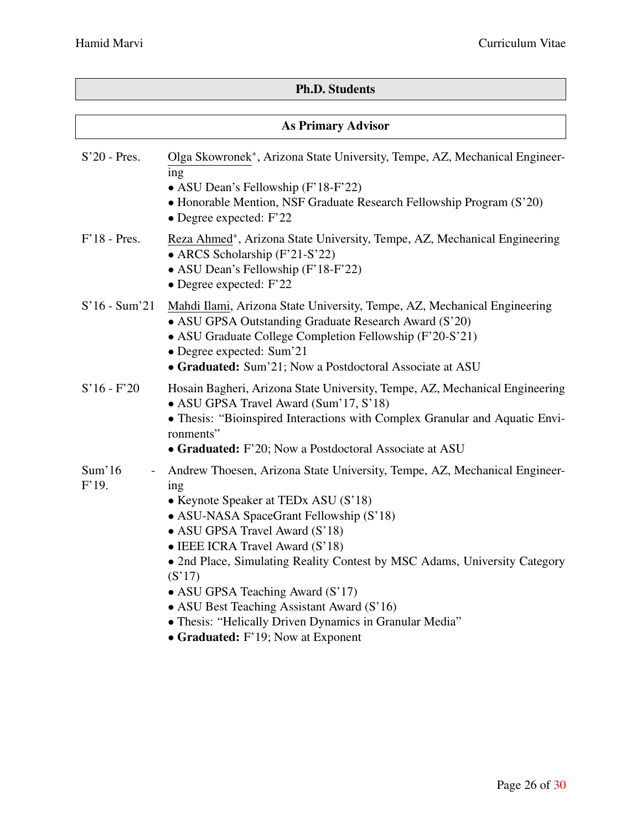# Ph.D. Students

| <b>As Primary Advisor</b> |                                                                                                                                                                                                                                                                                                                                                                                                                                                                              |  |
|---------------------------|------------------------------------------------------------------------------------------------------------------------------------------------------------------------------------------------------------------------------------------------------------------------------------------------------------------------------------------------------------------------------------------------------------------------------------------------------------------------------|--|
| $S'20$ - Pres.            | Olga Skowronek*, Arizona State University, Tempe, AZ, Mechanical Engineer-<br>ing<br>• ASU Dean's Fellowship (F'18-F'22)<br>• Honorable Mention, NSF Graduate Research Fellowship Program (S'20)<br>$\bullet$ Degree expected: F'22                                                                                                                                                                                                                                          |  |
| $F'18$ - Pres.            | Reza Ahmed*, Arizona State University, Tempe, AZ, Mechanical Engineering<br>• ARCS Scholarship (F'21-S'22)<br>• ASU Dean's Fellowship (F'18-F'22)<br>• Degree expected: $F'22$                                                                                                                                                                                                                                                                                               |  |
| $S'16 - Sum'21$           | Mahdi Ilami, Arizona State University, Tempe, AZ, Mechanical Engineering<br>• ASU GPSA Outstanding Graduate Research Award (S'20)<br>• ASU Graduate College Completion Fellowship (F'20-S'21)<br>• Degree expected: Sum'21<br>• Graduated: Sum'21; Now a Postdoctoral Associate at ASU                                                                                                                                                                                       |  |
| $S'16 - F'20$             | Hosain Bagheri, Arizona State University, Tempe, AZ, Mechanical Engineering<br>• ASU GPSA Travel Award (Sum'17, S'18)<br>• Thesis: "Bioinspired Interactions with Complex Granular and Aquatic Envi-<br>ronments"<br>• Graduated: F'20; Now a Postdoctoral Associate at ASU                                                                                                                                                                                                  |  |
| Sum'16<br>F'19.           | Andrew Thoesen, Arizona State University, Tempe, AZ, Mechanical Engineer-<br>ing<br>• Keynote Speaker at TEDx ASU (S'18)<br>• ASU-NASA SpaceGrant Fellowship (S'18)<br>• ASU GPSA Travel Award (S'18)<br>• IEEE ICRA Travel Award (S'18)<br>• 2nd Place, Simulating Reality Contest by MSC Adams, University Category<br>(S'17)<br>• ASU GPSA Teaching Award (S'17)<br>• ASU Best Teaching Assistant Award (S'16)<br>• Thesis: "Helically Driven Dynamics in Granular Media" |  |

*•* Graduated: F'19; Now at Exponent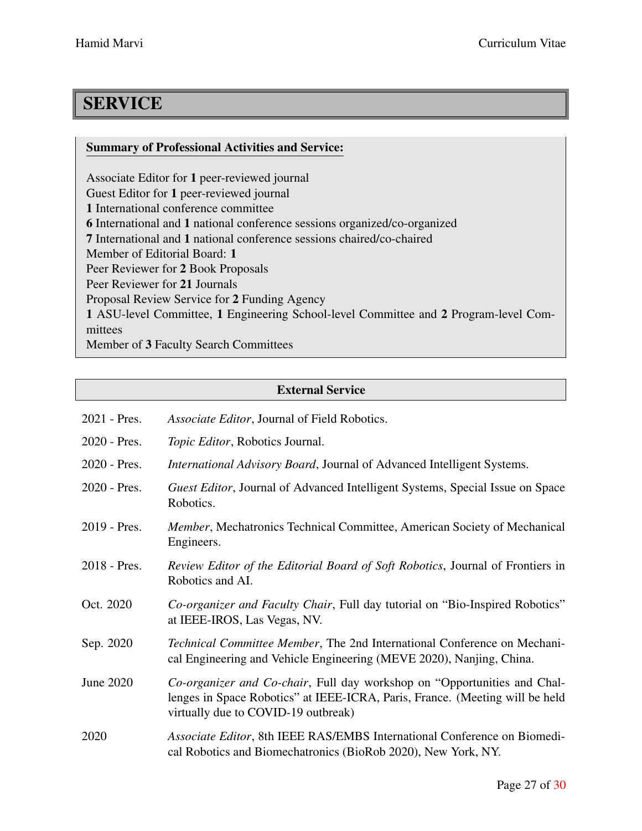# **SERVICE**

# Summary of Professional Activities and Service:

Associate Editor for 1 peer-reviewed journal Guest Editor for 1 peer-reviewed journal 1 International conference committee 6 International and 1 national conference sessions organized/co-organized 7 International and 1 national conference sessions chaired/co-chaired Member of Editorial Board: 1 Peer Reviewer for 2 Book Proposals Peer Reviewer for 21 Journals Proposal Review Service for 2 Funding Agency 1 ASU-level Committee, 1 Engineering School-level Committee and 2 Program-level Committees Member of 3 Faculty Search Committees

# External Service

| 2021 - Pres.   | Associate Editor, Journal of Field Robotics.                                                                                                                                                            |
|----------------|---------------------------------------------------------------------------------------------------------------------------------------------------------------------------------------------------------|
| $2020$ - Pres. | Topic Editor, Robotics Journal.                                                                                                                                                                         |
| 2020 - Pres.   | <i>International Advisory Board, Journal of Advanced Intelligent Systems.</i>                                                                                                                           |
| 2020 - Pres.   | Guest Editor, Journal of Advanced Intelligent Systems, Special Issue on Space<br>Robotics.                                                                                                              |
| 2019 - Pres.   | Member, Mechatronics Technical Committee, American Society of Mechanical<br>Engineers.                                                                                                                  |
| 2018 - Pres.   | <i>Review Editor of the Editorial Board of Soft Robotics, Journal of Frontiers in</i><br>Robotics and AI.                                                                                               |
| Oct. 2020      | Co-organizer and Faculty Chair, Full day tutorial on "Bio-Inspired Robotics"<br>at IEEE-IROS, Las Vegas, NV.                                                                                            |
| Sep. 2020      | Technical Committee Member, The 2nd International Conference on Mechani-<br>cal Engineering and Vehicle Engineering (MEVE 2020), Nanjing, China.                                                        |
| June 2020      | <i>Co-organizer and Co-chair</i> , Full day workshop on "Opportunities and Chal-<br>lenges in Space Robotics" at IEEE-ICRA, Paris, France. (Meeting will be held<br>virtually due to COVID-19 outbreak) |
| 2020           | Associate Editor, 8th IEEE RAS/EMBS International Conference on Biomedi-<br>cal Robotics and Biomechatronics (BioRob 2020), New York, NY.                                                               |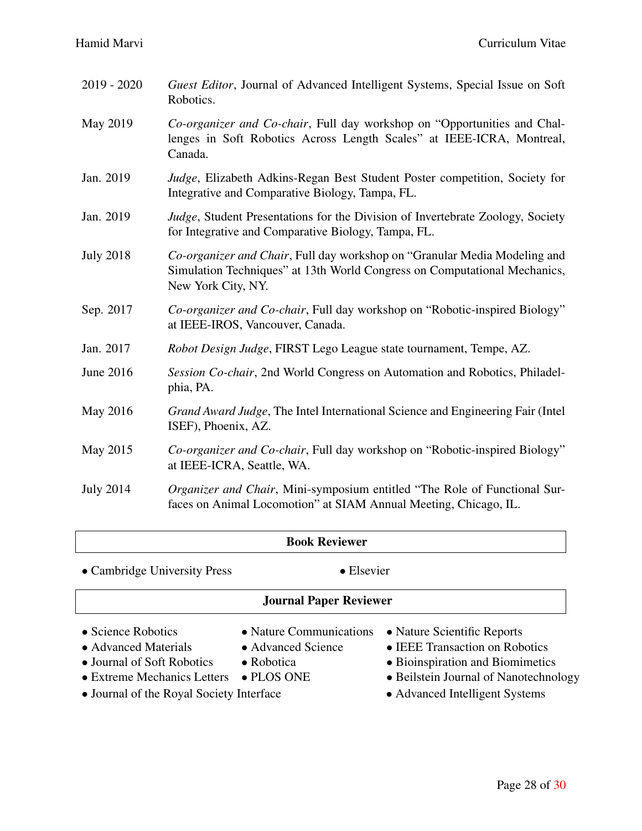$\overline{1}$ 

| 2019 - 2020      | Guest Editor, Journal of Advanced Intelligent Systems, Special Issue on Soft<br>Robotics.                                                                                    |
|------------------|------------------------------------------------------------------------------------------------------------------------------------------------------------------------------|
| May 2019         | Co-organizer and Co-chair, Full day workshop on "Opportunities and Chal-<br>lenges in Soft Robotics Across Length Scales" at IEEE-ICRA, Montreal,<br>Canada.                 |
| Jan. 2019        | Judge, Elizabeth Adkins-Regan Best Student Poster competition, Society for<br>Integrative and Comparative Biology, Tampa, FL.                                                |
| Jan. 2019        | Judge, Student Presentations for the Division of Invertebrate Zoology, Society<br>for Integrative and Comparative Biology, Tampa, FL.                                        |
| <b>July 2018</b> | Co-organizer and Chair, Full day workshop on "Granular Media Modeling and<br>Simulation Techniques" at 13th World Congress on Computational Mechanics,<br>New York City, NY. |
| Sep. 2017        | Co-organizer and Co-chair, Full day workshop on "Robotic-inspired Biology"<br>at IEEE-IROS, Vancouver, Canada.                                                               |
| Jan. 2017        | Robot Design Judge, FIRST Lego League state tournament, Tempe, AZ.                                                                                                           |
| June 2016        | Session Co-chair, 2nd World Congress on Automation and Robotics, Philadel-<br>phia, PA.                                                                                      |
| May 2016         | Grand Award Judge, The Intel International Science and Engineering Fair (Intel<br>ISEF), Phoenix, AZ.                                                                        |
| May 2015         | Co-organizer and Co-chair, Full day workshop on "Robotic-inspired Biology"<br>at IEEE-ICRA, Seattle, WA.                                                                     |
| <b>July 2014</b> | Organizer and Chair, Mini-symposium entitled "The Role of Functional Sur-<br>faces on Animal Locomotion" at SIAM Annual Meeting, Chicago, IL.                                |

| <b>Book Reviewer</b>                                                                                                                                |                                                                                           |                                                                                                                                                                              |  |  |
|-----------------------------------------------------------------------------------------------------------------------------------------------------|-------------------------------------------------------------------------------------------|------------------------------------------------------------------------------------------------------------------------------------------------------------------------------|--|--|
| • Cambridge University Press                                                                                                                        | $\bullet$ Elsevier                                                                        |                                                                                                                                                                              |  |  |
| <b>Journal Paper Reviewer</b>                                                                                                                       |                                                                                           |                                                                                                                                                                              |  |  |
| • Science Robotics<br>• Advanced Materials<br>• Journal of Soft Robotics<br>• Extreme Mechanics Letters<br>• Journal of the Royal Society Interface | • Nature Communications<br>• Advanced Science<br>$\bullet$ Robotica<br>$\bullet$ PLOS ONE | • Nature Scientific Reports<br>• IEEE Transaction on Robotics<br>• Bioinspiration and Biomimetics<br>• Beilstein Journal of Nanotechnology<br>• Advanced Intelligent Systems |  |  |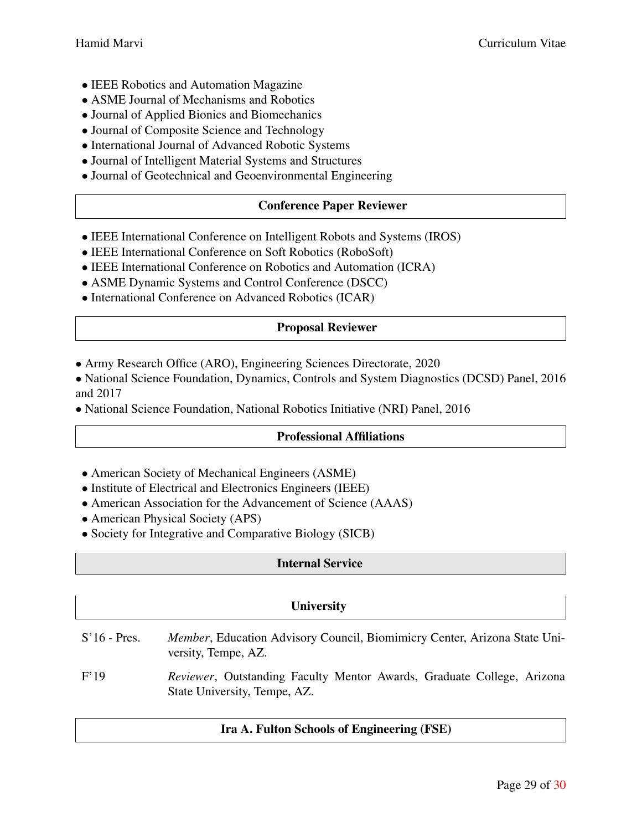- *•* IEEE Robotics and Automation Magazine
- *•* ASME Journal of Mechanisms and Robotics
- *•* Journal of Applied Bionics and Biomechanics
- Journal of Composite Science and Technology
- *•* International Journal of Advanced Robotic Systems
- *•* Journal of Intelligent Material Systems and Structures
- *•* Journal of Geotechnical and Geoenvironmental Engineering

# Conference Paper Reviewer

- *•* IEEE International Conference on Intelligent Robots and Systems (IROS)
- IEEE International Conference on Soft Robotics (RoboSoft)
- *•* IEEE International Conference on Robotics and Automation (ICRA)
- *•* ASME Dynamic Systems and Control Conference (DSCC)
- *•* International Conference on Advanced Robotics (ICAR)

# Proposal Reviewer

- *•* Army Research Office (ARO), Engineering Sciences Directorate, 2020
- National Science Foundation, Dynamics, Controls and System Diagnostics (DCSD) Panel, 2016 and 2017
- *•* National Science Foundation, National Robotics Initiative (NRI) Panel, 2016

# Professional Affiliations

- *•* American Society of Mechanical Engineers (ASME)
- *•* Institute of Electrical and Electronics Engineers (IEEE)
- American Association for the Advancement of Science (AAAS)
- American Physical Society (APS)
- Society for Integrative and Comparative Biology (SICB)

# Internal Service

# **University**

- S'16 Pres. *Member*, Education Advisory Council, Biomimicry Center, Arizona State University, Tempe, AZ.
- F'19 *Reviewer*, Outstanding Faculty Mentor Awards, Graduate College, Arizona State University, Tempe, AZ.

# Ira A. Fulton Schools of Engineering (FSE)